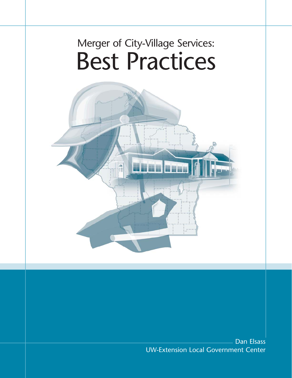# Merger of City-Village Services: Best Practices



Dan Elsass UW-Extension Local Government Center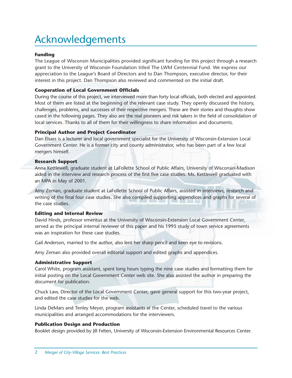## Acknowledgements

#### **Funding**

The League of Wisconsin Municipalities provided significant funding for this project through a research grant to the University of Wisconsin Foundation titled The LWM Centennial Fund. We express our appreciation to the League's Board of Directors and to Dan Thompson, executive director, for their interest in this project. Dan Thompson also reviewed and commented on the initial draft.

#### **Cooperation of Local Government Officials**

During the course of this project, we interviewed more than forty local officials, both elected and appointed. Most of them are listed at the beginning of the relevant case study. They openly discussed the history, challenges, problems, and successes of their respective mergers. These are their stories and thoughts show cased in the following pages. They also are the real pioneers and risk takers in the field of consolidation of local services. Thanks to all of them for their willingness to share information and documents.

#### **Principal Author and Project Coordinator**

Dan Elsass is a lecturer and local government specialist for the University of Wisconsin-Extension Local Government Center. He is a former city and county administrator, who has been part of a few local mergers himself.

#### **Research Support**

Anna Kettlewell, graduate student at LaFollette School of Public Affairs, University of Wisconsin-Madison aided in the interview and research process of the first five case studies. Ms. Kettlewell graduated with an MPA in May of 2001.

Amy Zeman, graduate student at LaFollette School of Public Affairs, assisted in interviews, research and writing of the final four case studies. She also compiled supporting appendices and graphs for several of the case studies.

#### **Editing and Internal Review**

David Hinds, professor emeritus at the University of Wisconsin-Extension Local Government Center, served as the principal internal reviewer of this paper and his 1995 study of town service agreements was an inspiration for these case studies.

Gail Anderson, married to the author, also lent her sharp pencil and keen eye to revisions.

Amy Zeman also provided overall editorial support and edited graphs and appendices.

#### **Administrative Support**

Carol White, program assistant, spent long hours typing the nine case studies and formatting them for initial posting on the Local Government Center web site. She also assisted the author in preparing the document for publication.

Chuck Law, Director of the Local Government Center, gave general support for this two-year project, and edited the case studies for the web.

Linda DeMars and Tenley Meyer, program assistants at the Center, scheduled travel to the various municipalities and arranged accommodations for the interviewers.

#### **Publication Design and Production**

Booklet design provided by Jill Felten, University of Wisconsin-Extension Environmental Resources Center.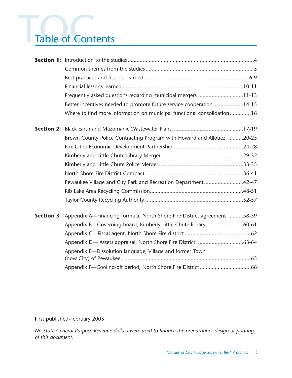# Table of Cont Table of Contents

| Frequently asked questions regarding municipal mergers 11-13                              |
|-------------------------------------------------------------------------------------------|
| Better incentives needed to promote future service cooperation14-15                       |
| Where to find more information on municipal functional consolidation16                    |
|                                                                                           |
| Brown County Police Contracting Program with Howard and Allouez 20-23                     |
|                                                                                           |
|                                                                                           |
|                                                                                           |
|                                                                                           |
| Pewaukee Village and City Park and Recreation Department42-47                             |
|                                                                                           |
|                                                                                           |
| <b>Section 3:</b> Appendix A—Financing formula, North Shore Fire District agreement 58-59 |
| Appendix B-Governing board, Kimberly-Little Chute library 60-61                           |
|                                                                                           |
|                                                                                           |
| Appendix E-Dissolution language, Village and former Town                                  |
|                                                                                           |
|                                                                                           |

First published-February 2003

*No State General Purpose Revenue dollars were used to finance the preparation, design or printing of this document.*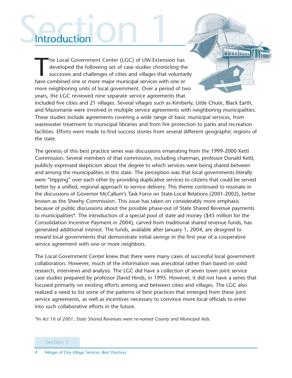# Section 1 **Introduction**

The Local Government Center (LGC) of UW-Extension has<br>developed the following set of case studies chronicling the<br>successes and challenges of cities and villages that volunta<br>have combined one or more major municipal servi developed the following set of case studies chronicling the successes and challenges of cities and villages that voluntarily have combined one or more major municipal services with one or more neighboring units of local government. Over a period of two years, the LGC reviewed nine separate service agreements that included five cities and 21 villages. Several villages such as Kimberly, Little Chute, Black Earth,

and Mazomanie were involved in multiple service agreements with neighboring municipalities. These studies include agreements covering a wide range of basic municipal services, from wastewater treatment to municipal libraries and from fire protection to parks and recreation facilities. Efforts were made to find success stories from several different geographic regions of the state.

**NHAH HUAH** 

The genesis of this best practice series was discussions emanating from the 1999-2000 Kettl Commission. Several members of that commission, including chairman, professor Donald Kettl, publicly expressed skepticism about the degree to which services were being shared between and among the municipalities in this state. The perception was that local governments literally were "tripping" over each other by providing duplicative services to citizens that could be served better by a unified, regional approach to service delivery. This theme continued to resonate in the discussions of Governor McCallum's Task Force on State-Local Relations (2001-2002), better known as the Sheehy Commission. This issue has taken on considerably more emphasis because of public discussions about the possible phase-out of State Shared Revenue payments to municipalities\*. The introduction of a special pool of state aid money (\$45 million for the Consolidation Incentive Payment in 2004), carved from traditional shared revenue funds, has generated additional interest. The funds, available after January 1, 2004, are designed to reward local governments that demonstrate initial savings in the first year of a cooperative service agreement with one or more neighbors.

The Local Government Center knew that there were many cases of successful local government collaboration. However, much of the information was anecdotal rather than based on solid research, interviews and analysis. The LGC did have a collection of seven town joint service case studies prepared by professor David Hinds, in 1995. However, it did not have a series that focused primarily on existing efforts among and between cities and villages. The LGC also realized a need to list some of the patterns of best practices that emerged from these joint service agreements, as well as incentives necessary to convince more local officials to enter into such collaborative efforts in the future.

*\*In Act 16 of 2001, State Shared Revenues were re-named County and Municipal Aids.*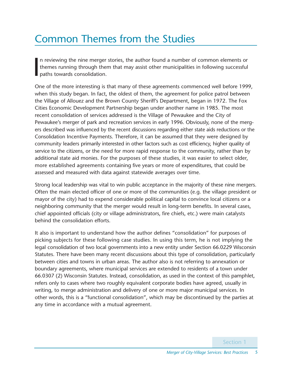## Common Themes from the Studies

I n reviewing the nine merger stories, the author found a number of common elements or themes running through them that may assist other municipalities in following successful paths towards consolidation.

One of the more interesting is that many of these agreements commenced well before 1999, when this study began. In fact, the oldest of them, the agreement for police patrol between the Village of Allouez and the Brown County Sheriff's Department, began in 1972. The Fox Cities Economic Development Partnership began under another name in 1985. The most recent consolidation of services addressed is the Village of Pewaukee and the City of Pewaukee's merger of park and recreation services in early 1996. Obviously, none of the mergers described was influenced by the recent discussions regarding either state aids reductions or the Consolidation Incentive Payments. Therefore, it can be assumed that they were designed by community leaders primarily interested in other factors such as cost efficiency, higher quality of service to the citizens, or the need for more rapid response to the community, rather than by additional state aid monies. For the purposes of these studies, it was easier to select older, more established agreements containing five years or more of expenditures, that could be assessed and measured with data against statewide averages over time.

Strong local leadership was vital to win public acceptance in the majority of these nine mergers. Often the main elected officer of one or more of the communities (e.g. the village president or mayor of the city) had to expend considerable political capital to convince local citizens or a neighboring community that the merger would result in long-term benefits. In several cases, chief appointed officials (city or village administrators, fire chiefs, etc.) were main catalysts behind the consolidation efforts.

It also is important to understand how the author defines "consolidation" for purposes of picking subjects for these following case studies. In using this term, he is not implying the legal consolidation of two local governments into a new entity under Section 66.0229 Wisconsin Statutes. There have been many recent discussions about this type of consolidation, particularly between cities and towns in urban areas. The author also is not referring to annexation or boundary agreements, where municipal services are extended to residents of a town under 66.0307 (2) Wisconsin Statutes. Instead, consolidation, as used in the context of this pamphlet, refers only to cases where two roughly equivalent corporate bodies have agreed, usually in writing, to merge administration and delivery of one or more major municipal services. In other words, this is a "functional consolidation", which may be discontinued by the parties at any time in accordance with a mutual agreement.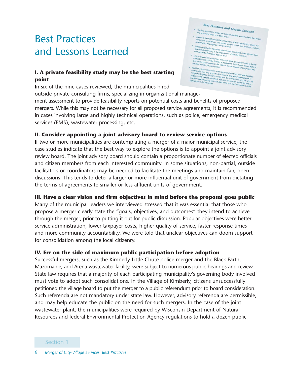## Best Practices and Lessons Learned

### **I. A private feasibility study may be the best starting point**

In six of the nine cases reviewed, the municipalities hired

outside private consulting firms, specializing in organizational manage-

**Best Practices and Lessons Learned**<br>**St Maps of the morger are to be a** 

- shar
- 
- ortium to include large faci
- are racilities or e<br>hts to the table
- 

govern<br>E the co merged personnel. A

ment assessment to provide feasibility reports on potential costs and benefits of proposed mergers. While this may not be necessary for all proposed service agreements, it is recommended in cases involving large and highly technical operations, such as police, emergency medical services (EMS), wastewater processing, etc.

### **II. Consider appointing a joint advisory board to review service options**

If two or more municipalities are contemplating a merger of a major municipal service, the case studies indicate that the best way to explore the options is to appoint a joint advisory review board. The joint advisory board should contain a proportionate number of elected officials and citizen members from each interested community. In some situations, non-partial, outside facilitators or coordinators may be needed to facilitate the meetings and maintain fair, open discussions. This tends to deter a larger or more influential unit of government from dictating the terms of agreements to smaller or less affluent units of government.

### **III. Have a clear vision and firm objectives in mind before the proposal goes public**

Many of the municipal leaders we interviewed stressed that it was essential that those who propose a merger clearly state the "goals, objectives, and outcomes" they intend to achieve through the merger, prior to putting it out for public discussion. Popular objectives were better service administration, lower taxpayer costs, higher quality of service, faster response times and more community accountability. We were told that unclear objectives can doom support for consolidation among the local citizenry.

### **IV. Err on the side of maximum public participation before adoption**

Successful mergers, such as the Kimberly-Little Chute police merger and the Black Earth, Mazomanie, and Arena wastewater facility, were subject to numerous public hearings and review. State law requires that a majority of each participating municipality's governing body involved must vote to adopt such consolidations. In the Village of Kimberly, citizens unsuccessfully petitioned the village board to put the merger to a public referendum prior to board consideration. Such referenda are not mandatory under state law. However, advisory referenda are permissible, and may help educate the public on the need for such mergers. In the case of the joint wastewater plant, the municipalities were required by Wisconsin Department of Natural Resources and federal Environmental Protection Agency regulations to hold a dozen public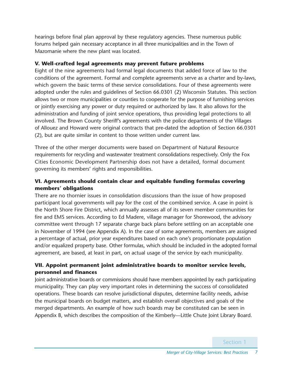hearings before final plan approval by these regulatory agencies. These numerous public forums helped gain necessary acceptance in all three municipalities and in the Town of Mazomanie where the new plant was located.

### **V. Well-crafted legal agreements may prevent future problems**

Eight of the nine agreements had formal legal documents that added force of law to the conditions of the agreement. Formal and complete agreements serve as a charter and by-laws, which govern the basic terms of these service consolidations. Four of these agreements were adopted under the rules and guidelines of Section 66.0301 (2) Wisconsin Statutes. This section allows two or more municipalities or counties to cooperate for the purpose of furnishing services or jointly exercising any power or duty required or authorized by law. It also allows for the administration and funding of joint service operations, thus providing legal protections to all involved. The Brown County Sheriff's agreements with the police departments of the Villages of Allouez and Howard were original contracts that pre-dated the adoption of Section 66.0301 (2), but are quite similar in content to those written under current law.

Three of the other merger documents were based on Department of Natural Resource requirements for recycling and wastewater treatment consolidations respectively. Only the Fox Cities Economic Development Partnership does not have a detailed, formal document governing its members' rights and responsibilities.

### **VI. Agreements should contain clear and equitable funding formulas covering members' obligations**

There are no thornier issues in consolidation discussions than the issue of how proposed participant local governments will pay for the cost of the combined service. A case in point is the North Shore Fire District, which annually assesses all of its seven member communities for fire and EMS services. According to Ed Madere, village manager for Shorewood, the advisory committee went through 17 separate charge back plans before settling on an acceptable one in November of 1994 (see Appendix A). In the case of some agreements, members are assigned a percentage of actual, prior year expenditures based on each one's proportionate population and/or equalized property base. Other formulas, which should be included in the adopted formal agreement, are based, at least in part, on actual usage of the service by each municipality.

### **VII. Appoint permanent joint administrative boards to monitor service levels, personnel and finances**

Joint administrative boards or commissions should have members appointed by each participating municipality. They can play very important roles in determining the success of consolidated operations. These boards can resolve jurisdictional disputes, determine facility needs, advise the municipal boards on budget matters, and establish overall objectives and goals of the merged departments. An example of how such boards may be constituted can be seen in Appendix B, which describes the composition of the Kimberly—Little Chute Joint Library Board.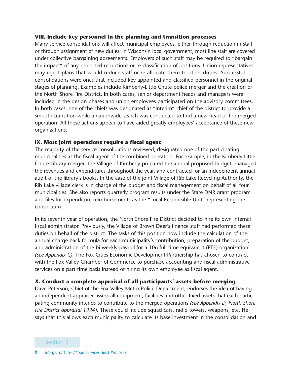### **VIII. Include key personnel in the planning and transition processes**

Many service consolidations will affect municipal employees, either through reduction in staff or through assignment of new duties. In Wisconsin local government, most line staff are covered under collective bargaining agreements. Employers of such staff may be required to "bargain the impact" of any proposed reductions or re-classification of positions. Union representatives may reject plans that would reduce staff or re-allocate them to other duties. Successful consolidations were ones that included key appointed and classified personnel in the original stages of planning. Examples include Kimberly-Little Chute police merger and the creation of the North Shore Fire District. In both cases, senior department heads and managers were included in the design phases and union employees participated on the advisory committees. In both cases, one of the chiefs was designated as "interim" chief of the district to provide a smooth transition while a nationwide search was conducted to find a new head of the merged operation. All these actions appear to have aided greatly employees' acceptance of these new organizations.

### **IX. Most joint operations require a fiscal agent**

The majority of the service consolidations reviewed, designated one of the participating municipalities as the fiscal agent of the combined operation. For example, in the Kimberly-Little Chute Library merger, the Village of Kimberly prepared the annual proposed budget, managed the revenues and expenditures throughout the year, and contracted for an independent annual audit of the library's books. In the case of the joint Village of Rib Lake Recycling Authority, the Rib Lake village clerk is in charge of the budget and fiscal management on behalf of all four municipalities. She also reports quarterly program results under the State DNR grant program and files for expenditure reimbursements as the "Local Responsible Unit" representing the consortium.

In its seventh year of operation, the North Shore Fire District decided to hire its own internal fiscal administrator. Previously, the Village of Brown Deer's finance staff had performed these duties on behalf of the district. The tasks of this position now include the calculation of the annual charge back formula for each municipality's contribution, preparation of the budget, and administration of the bi-weekly payroll for a 106 full time equivalent (FTE) organization *(see Appendix C)*. The Fox Cities Economic Development Partnership has chosen to contract with the Fox Valley Chamber of Commerce to purchase accounting and fiscal administrative services on a part time basis instead of hiring its own employee as fiscal agent.

### **X. Conduct a complete appraisal of all participants' assets before merging**

Dave Peterson, Chief of the Fox Valley Metro Police Department, endorses the idea of having an independent appraiser assess all equipment, facilities and other fixed assets that each participating community intends to contribute to the merged operations *(see Appendix D, North Shore Fire District appraisal 1994)*. These could include squad cars, radio towers, weapons, etc. He says that this allows each municipality to calculate its base investment in the consolidation and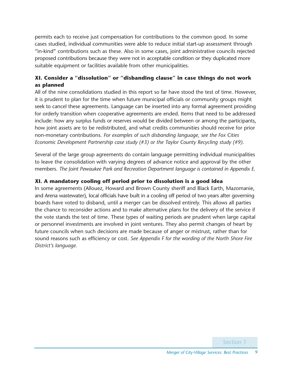permits each to receive just compensation for contributions to the common good. In some cases studied, individual communities were able to reduce initial start-up assessment through "in-kind" contributions such as these. Also in some cases, joint administrative councils rejected proposed contributions because they were not in acceptable condition or they duplicated more suitable equipment or facilities available from other municipalities.

### **XI. Consider a "dissolution" or "disbanding clause" in case things do not work as planned**

All of the nine consolidations studied in this report so far have stood the test of time. However, it is prudent to plan for the time when future municipal officials or community groups might seek to cancel these agreements. Language can be inserted into any formal agreement providing for orderly transition when cooperative agreements are ended. Items that need to be addressed include: how any surplus funds or reserves would be divided between or among the participants, how joint assets are to be redistributed, and what credits communities should receive for prior non-monetary contributions. *For examples of such disbanding language, see the Fox Cities Economic Development Partnership case study (#3) or the Taylor County Recycling study (#9).*

Several of the large group agreements do contain language permitting individual municipalities to leave the consolidation with varying degrees of advance notice and approval by the other members. *The Joint Pewaukee Park and Recreation Department language is contained in Appendix E*.

### **XI. A mandatory cooling off period prior to dissolution is a good idea**

In some agreements (Allouez, Howard and Brown County sheriff and Black Earth, Mazomanie, and Arena wastewater), local officials have built in a cooling off period of two years after governing boards have voted to disband, until a merger can be dissolved entirely. This allows all parties the chance to reconsider actions and to make alternative plans for the delivery of the service if the vote stands the test of time. These types of waiting periods are prudent when large capital or personnel investments are involved in joint ventures. They also permit changes of heart by future councils when such decisions are made because of anger or mistrust, rather than for sound reasons such as efficiency or cost. *See Appendix F for the wording of the North Shore Fire District's language*.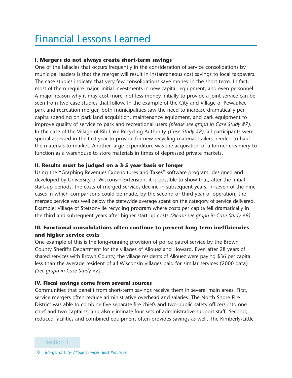## Financial Lessons Learned

### **I. Mergers do not always create short-term savings**

One of the fallacies that occurs frequently in the consideration of service consolidations by municipal leaders is that the merger will result in instantaneous cost savings to local taxpayers. The case studies indicate that very few consolidations save money in the short term. In fact, most of them require major, initial investments in new capital, equipment, and even personnel. A major reason why it may cost more, not less money initially to provide a joint service can be seen from two case studies that follow. In the example of the City and Village of Pewaukee park and recreation merger, both municipalities saw the need to increase dramatically per capita spending on park land acquisition, maintenance equipment, and park equipment to improve quality of service to park and recreational users *(please see graph in Case Study #7)*. In the case of the Village of Rib Lake Recycling Authority *(Case Study #8)*, all participants were special assessed in the first year to provide for new recycling material trailers needed to haul the materials to market. Another large expenditure was the acquisition of a former creamery to function as a warehouse to store materials in times of depressed private markets.

### **II. Results must be judged on a 3-5 year basis or longer**

Using the "Graphing Revenues Expenditures and Taxes" software program, designed and developed by University of Wisconsin-Extension, it is possible to show that, after the initial start-up periods, the costs of merged services decline in subsequent years. In seven of the nine cases in which comparisons could be made, by the second or third year of operation, the merged service was well below the statewide average spent on the category of service delivered. Example: Village of Stetsonville recycling program where costs per capita fell dramatically in the third and subsequent years after higher start-up costs *(Please see graph in Case Study #9)*.

### **III. Functional consolidations often continue to prevent long-term inefficiencies and higher service costs**

One example of this is the long-running provision of police patrol service by the Brown County Sheriff's Department for the villages of Allouez and Howard. Even after 28 years of shared services with Brown County, the village residents of Allouez were paying \$36 per capita less than the average resident of all Wisconsin villages paid for similar services (2000 data) *(See graph in Case Study #2)*.

### **IV. Fiscal savings come from several sources**

Communities that benefit from short-term savings receive them in several main areas. First, service mergers often reduce administrative overhead and salaries. The North Shore Fire District was able to combine five separate fire chiefs and two public safety officers into one chief and two captains, and also eliminate four sets of administrative support staff. Second, reduced facilities and combined equipment often provides savings as well. The Kimberly-Little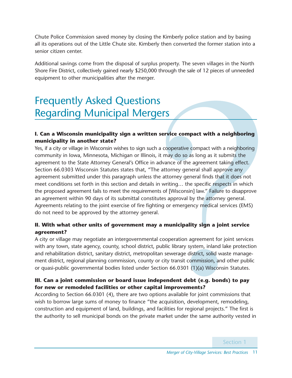Chute Police Commission saved money by closing the Kimberly police station and by basing all its operations out of the Little Chute site. Kimberly then converted the former station into a senior citizen center.

Additional savings come from the disposal of surplus property. The seven villages in the North Shore Fire District, collectively gained nearly \$250,000 through the sale of 12 pieces of unneeded equipment to other municipalities after the merger.

## Frequently Asked Questions Regarding Municipal Mergers

### **I. Can a Wisconsin municipality sign a written service compact with a neighboring municipality in another state?**

Yes, if a city or village in Wisconsin wishes to sign such a cooperative compact with a neighboring community in Iowa, Minnesota, Michigan or Illinois, it may do so as long as it submits the agreement to the State Attorney General's Office in advance of the agreement taking effect. Section 66.0303 Wisconsin Statutes states that, "The attorney general shall approve any agreement submitted under this paragraph unless the attorney general finds that it does not meet conditions set forth in this section and details in writing… the specific respects in which the proposed agreement fails to meet the requirements of [Wisconsin] law." Failure to disapprove an agreement within 90 days of its submittal constitutes approval by the attorney general. Agreements relating to the joint exercise of fire fighting or emergency medical services (EMS) do not need to be approved by the attorney general.

### **II. With what other units of government may a municipality sign a joint service agreement?**

A city or village may negotiate an intergovernmental cooperation agreement for joint services with any town, state agency, county, school district, public library system, inland lake protection and rehabilitation district, sanitary district, metropolitan sewerage district, solid waste management district, regional planning commission, county or city transit commission, and other public or quasi-public governmental bodies listed under Section 66.0301 (1)(a) Wisconsin Statutes.

### **III. Can a joint commission or board issue independent debt (e.g. bonds) to pay for new or remodeled facilities or other capital improvements?**

According to Section 66.0301 (4), there are two options available for joint commissions that wish to borrow large sums of money to finance "the acquisition, development, remodeling, construction and equipment of land, buildings, and facilities for regional projects." The first is the authority to sell municipal bonds on the private market under the same authority vested in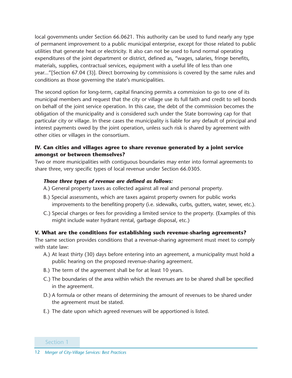local governments under Section 66.0621. This authority can be used to fund nearly any type of permanent improvement to a public municipal enterprise, except for those related to public utilities that generate heat or electricity. It also can not be used to fund normal operating expenditures of the joint department or district, defined as, "wages, salaries, fringe benefits, materials, supplies, contractual services, equipment with a useful life of less than one year..."[Section 67.04 (3)]. Direct borrowing by commissions is covered by the same rules and conditions as those governing the state's municipalities.

The second option for long-term, capital financing permits a commission to go to one of its municipal members and request that the city or village use its full faith and credit to sell bonds on behalf of the joint service operation. In this case, the debt of the commission becomes the obligation of the municipality and is considered such under the State borrowing cap for that particular city or village. In these cases the municipality is liable for any default of principal and interest payments owed by the joint operation, unless such risk is shared by agreement with other cities or villages in the consortium.

### **IV. Can cities and villages agree to share revenue generated by a joint service amongst or between themselves?**

Two or more municipalities with contiguous boundaries may enter into formal agreements to share three, very specific types of local revenue under Section 66.0305.

### *Those three types of revenue are defined as follows:*

- A.) General property taxes as collected against all real and personal property.
- B.) Special assessments, which are taxes against property owners for public works improvements to the benefiting property (i.e. sidewalks, curbs, gutters, water, sewer, etc.).
- C.) Special charges or fees for providing a limited service to the property. (Examples of this might include water hydrant rental, garbage disposal, etc.)

### **V. What are the conditions for establishing such revenue-sharing agreements?**

The same section provides conditions that a revenue-sharing agreement must meet to comply with state law:

- A.) At least thirty (30) days before entering into an agreement, a municipality must hold a public hearing on the proposed revenue-sharing agreement.
- B.) The term of the agreement shall be for at least 10 years.
- C.) The boundaries of the area within which the revenues are to be shared shall be specified in the agreement.
- D.) A formula or other means of determining the amount of revenues to be shared under the agreement must be stated.
- E.) The date upon which agreed revenues will be apportioned is listed.

Section 1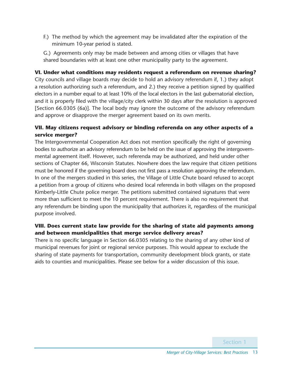F.) The method by which the agreement may be invalidated after the expiration of the minimum 10-year period is stated.

G.) Agreements only may be made between and among cities or villages that have shared boundaries with at least one other municipality party to the agreement.

### **VI. Under what conditions may residents request a referendum on revenue sharing?**

City councils and village boards may decide to hold an advisory referendum if, 1.) they adopt a resolution authorizing such a referendum, and 2.) they receive a petition signed by qualified electors in a number equal to at least 10% of the local electors in the last gubernatorial election, and it is properly filed with the village/city clerk within 30 days after the resolution is approved [Section 66.0305 (6a)]. The local body may ignore the outcome of the advisory referendum and approve or disapprove the merger agreement based on its own merits.

### **VII. May citizens request advisory or binding referenda on any other aspects of a service merger?**

The Intergovernmental Cooperation Act does not mention specifically the right of governing bodies to authorize an advisory referendum to be held on the issue of approving the intergovernmental agreement itself. However, such referenda may be authorized, and held under other sections of Chapter 66, Wisconsin Statutes. Nowhere does the law require that citizen petitions must be honored if the governing board does not first pass a resolution approving the referendum. In one of the mergers studied in this series, the Village of Little Chute board refused to accept a petition from a group of citizens who desired local referenda in both villages on the proposed Kimberly-Little Chute police merger. The petitions submitted contained signatures that were more than sufficient to meet the 10 percent requirement. There is also no requirement that any referendum be binding upon the municipality that authorizes it, regardless of the municipal purpose involved.

### **VIII. Does current state law provide for the sharing of state aid payments among and between municipalities that merge service delivery areas?**

There is no specific language in Section 66.0305 relating to the sharing of any other kind of municipal revenues for joint or regional service purposes. This would appear to exclude the sharing of state payments for transportation, community development block grants, or state aids to counties and municipalities. Please see below for a wider discussion of this issue.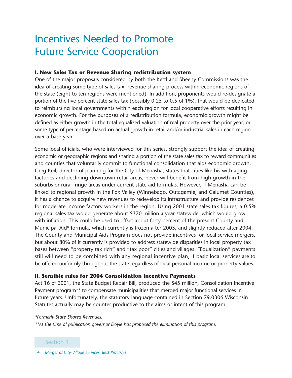## Incentives Needed to Promote Future Service Cooperation

### **I. New Sales Tax or Revenue Sharing redistribution system**

One of the major proposals considered by both the Kettl and Sheehy Commissions was the idea of creating some type of sales tax, revenue sharing process within economic regions of the state (eight to ten regions were mentioned). In addition, proponents would re-designate a portion of the five percent state sales tax (possibly 0.25 to 0.5 of 1%), that would be dedicated to reimbursing local governments within each region for local cooperative efforts resulting in economic growth. For the purposes of a redistribution formula, economic growth might be defined as either growth in the total equalized valuation of real property over the prior year, or some type of percentage based on actual growth in retail and/or industrial sales in each region over a base year.

Some local officials, who were interviewed for this series, strongly support the idea of creating economic or geographic regions and sharing a portion of the state sales tax to reward communities and counties that voluntarily commit to functional consolidation that aids economic growth. Greg Keil, director of planning for the City of Menasha, states that cities like his with aging factories and declining downtown retail areas, never will benefit from high growth in the suburbs or rural fringe areas under current state aid formulas. However, if Menasha can be linked to regional growth in the Fox Valley (Winnebago, Outagamie, and Calumet Counties), it has a chance to acquire new revenues to redevelop its infrastructure and provide residences for moderate-income factory workers in the region. Using 2001 state sales tax figures, a 0.5% regional sales tax would generate about \$370 million a year statewide, which would grow with inflation. This could be used to offset about forty percent of the present County and Municipal Aid\* formula, which currently is frozen after 2003, and slightly reduced after 2004. The County and Municipal Aids Program does not provide incentives for local service mergers, but about 80% of it currently is provided to address statewide disparities in local property tax bases between "property tax rich" and "tax poor" cities and villages. "Equalization" payments still will need to be combined with any regional incentive plan, if basic local services are to be offered uniformly throughout the state regardless of local personal income or property values.

### **II. Sensible rules for 2004 Consolidation Incentive Payments**

Act 16 of 2001, the State Budget Repair Bill, produced the \$45 million, Consolidation Incentive Payment program\*\* to compensate municipalities that merged major functional services in future years. Unfortunately, the statutory language contained in Section 79.0306 Wisconsin Statutes actually may be counter-productive to the aims or intent of this program.

*\*Formerly State Shared Revenues.*

*\*\*At the time of publication governor Doyle has proposed the elimination of this program.*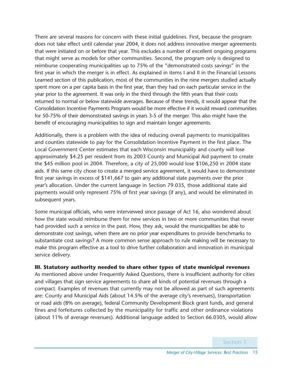There are several reasons for concern with these initial guidelines. First, because the program does not take effect until calendar year 2004, it does not address innovative merger agreements that were initiated on or before that year. This excludes a number of excellent ongoing programs that might serve as models for other communities. Second, the program only is designed to reimburse cooperating municipalities up to 75% of the "demonstrated costs savings" in the first year in which the merger is in effect. As explained in items I and II in the Financial Lessons Learned section of this publication, most of the communities in the nine mergers studied actually spent more on a per capita basis in the first year, than they had on each particular service in the year prior to the agreement. It was only in the third through the fifth years that their costs returned to normal or below statewide averages. Because of these trends, it would appear that the Consolidation Incentive Payments Program would be more effective if it would reward communities for 50-75% of their demonstrated savings in years 3-5 of the merger. This also might have the benefit of encouraging municipalities to sign and maintain longer agreements.

Additionally, there is a problem with the idea of reducing overall payments to municipalities and counties statewide to pay for the Consolidation Incentive Payment in the first place. The Local Government Center estimates that each Wisconsin municipality and county will lose approximately \$4.25 per resident from its 2003 County and Municipal Aid payment to create the \$45 million pool in 2004. Therefore, a city of 25,000 would lose \$106,250 in 2004 state aids. If this same city chose to create a merged service agreement, it would have to demonstrate first year savings in excess of \$141,667 to gain any additional state payments over the prior year's allocation. Under the current language in Section 79.035, those additional state aid payments would only represent 75% of first year savings (if any), and would be eliminated in subsequent years.

Some municipal officials, who were interviewed since passage of Act 16, also wondered about how the state would reimburse them for new services in two or more communities that never had provided such a service in the past. How, they ask, would the municipalities be able to demonstrate cost savings, when there are no prior year expenditures to provide benchmarks to substantiate cost savings? A more common sense approach to rule making will be necessary to make this program effective as a tool to drive further collaboration and innovation in municipal service delivery.

### **III. Statutory authority needed to share other types of state municipal revenues**

As mentioned above under Frequently Asked Questions, there is insufficient authority for cities and villages that sign service agreements to share all kinds of potential revenues through a compact. Examples of revenues that currently may not be allowed as part of such agreements are: County and Municipal Aids (about 14.5% of the average city's revenues), transportation or road aids (8% on average), federal Community Development Block grant funds, and general fines and forfeitures collected by the municipality for traffic and other ordinance violations (about 11% of average revenues). Additional language added to Section 66.0305, would allow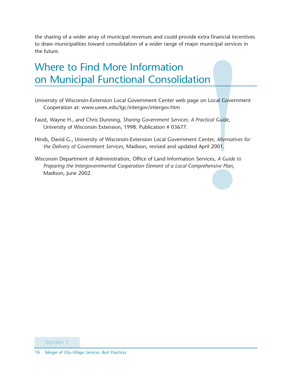the sharing of a wider array of municipal revenues and could provide extra financial incentives to draw municipalities toward consolidation of a wider range of major municipal services in the future.

## Where to Find More Information on Municipal Functional Consolidation

- University of Wisconsin-Extension Local Government Center web page on Local Government Cooperation at: www.uwex.edu/lgc/intergov/intergov.htm
- Faust, Wayne H., and Chris Dunning, *Sharing Government Services: A Practical Guide*, University of Wisconsin Extension, 1998. Publication # 03677.
- Hinds, David G., University of Wisconsin-Extension Local Government Center, *Alternatives for the Delivery of Government Services*, Madison, revised and updated April 2001.
- Wisconsin Department of Administration, Office of Land Information Services, *A Guide to Preparing the Intergovernmental Cooperation Element of a Local Comprehensive Plan*, Madison, June 2002.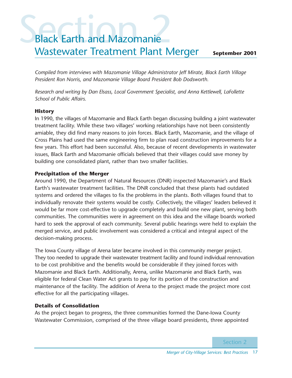## **Sack Earth and Mazomanie** Black Earth and Mazomanie Wastewater Treatment Plant Merger

**September 2001**

*Compiled from interviews with Mazomanie Village Administrator Jeff Mirate, Black Earth Village President Ron Norris, and Mazomanie Village Board President Bob Dodsworth.*

*Research and writing by Dan Elsass, Local Government Specialist, and Anna Kettlewell, LaFollette School of Public Affairs.*

### **History**

In 1990, the villages of Mazomanie and Black Earth began discussing building a joint wastewater treatment facility. While these two villages' working relationships have not been consistently amiable, they did find many reasons to join forces. Black Earth, Mazomanie, and the village of Cross Plains had used the same engineering firm to plan road construction improvements for a few years. This effort had been successful. Also, because of recent developments in wastewater issues, Black Earth and Mazomanie officials believed that their villages could save money by building one consolidated plant, rather than two smaller facilities.

### **Precipitation of the Merger**

Around 1990, the Department of Natural Resources (DNR) inspected Mazomanie's and Black Earth's wastewater treatment facilities. The DNR concluded that these plants had outdated systems and ordered the villages to fix the problems in the plants. Both villages found that to individually renovate their systems would be costly. Collectively, the villages' leaders believed it would be far more cost-effective to upgrade completely and build one new plant, serving both communities. The communities were in agreement on this idea and the village boards worked hard to seek the approval of each community. Several public hearings were held to explain the merged service, and public involvement was considered a critical and integral aspect of the decision-making process.

The Iowa County village of Arena later became involved in this community merger project. They too needed to upgrade their wastewater treatment facility and found individual rennovation to be cost prohibitive and the benefits would be considerable if they joined forces with Mazomanie and Black Earth. Additionally, Arena, unlike Mazomanie and Black Earth, was eligible for federal Clean Water Act grants to pay for its portion of the construction and maintenance of the facility. The addition of Arena to the project made the project more cost effective for all the participating villages.

### **Details of Consolidation**

As the project began to progress, the three communities formed the Dane-Iowa County Wastewater Commission, comprised of the three village board presidents, three appointed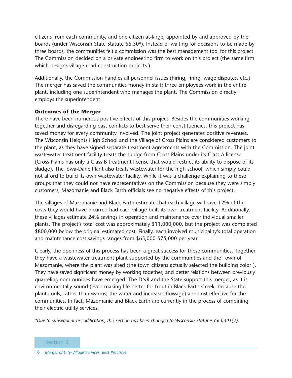citizens from each community, and one citizen at-large, appointed by and approved by the boards (under Wisconsin State Statute 66.30\*). Instead of waiting for decisions to be made by three boards, the communities felt a commission was the best management tool for this project. The Commission decided on a private engineering firm to work on this project (the same firm which designs village road construction projects.)

Additionally, the Commission handles all personnel issues (hiring, firing, wage disputes, etc.) The merger has saved the communities money in staff; three employees work in the entire plant, including one superintendent who manages the plant. The Commission directly employs the superintendent.

#### **Outcomes of the Merger**

There have been numerous positive effects of this project. Besides the communities working together and disregarding past conflicts to best serve their constituencies, this project has saved money for every community involved. The joint project generates positive revenues. The Wisconsin Heights High School and the Village of Cross Plains are considered customers to the plant, as they have signed separate treatment agreements with the Commission. The joint wastewater treatment facility treats the sludge from Cross Plains under its Class A license (Cross Plains has only a Class B treatment license that would restrict its ability to dispose of its sludge). The Iowa-Dane Plant also treats wastewater for the high school, which simply could not afford to build its own wastewater facility. While it was a challenge explaining to these groups that they could not have representatives on the Commission because they were simply customers, Mazomanie and Black Earth officials see no negative effects of this project.

The villages of Mazomanie and Black Earth estimate that each village will save 12% of the costs they would have incurred had each village built its own treatment facility. Additionally, these villages estimate 24% savings in operation and maintenance over individual smaller plants. The project's total cost was approximately \$11,000,000, but the project was completed \$800,000 below the original estimated cost. Finally, each involved municipality's total operation and maintenance cost savings ranges from \$65,000-\$75,000 per year.

Clearly, the openness of this process has been a great success for these communities. Together they have a wastewater treatment plant supported by the communities and the Town of Mazomanie, where the plant was sited (the town citizens actually selected the building color!). They have saved significant money by working together, and better relations between previously quarreling communities have emerged. The DNR and the State support this merger, as it is environmentally sound (even making life better for trout in Black Earth Creek, because the plant cools, rather than warms, the water and increases flowage) and cost effective for the communities. In fact, Mazomanie and Black Earth are currently in the process of combining their electric utility services.

*\*Due to subsequent re-codification, this section has been changed to Wisconsin Statutes 66.0301(2).*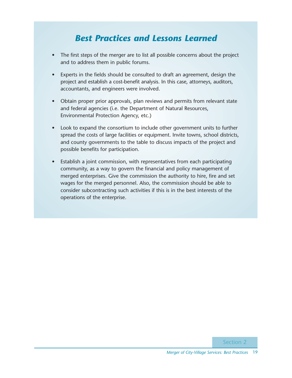### *Best Practices and Lessons Learned*

- The first steps of the merger are to list all possible concerns about the project and to address them in public forums.
- Experts in the fields should be consulted to draft an agreement, design the project and establish a cost-benefit analysis. In this case, attorneys, auditors, accountants, and engineers were involved.
- Obtain proper prior approvals, plan reviews and permits from relevant state and federal agencies (i.e. the Department of Natural Resources, Environmental Protection Agency, etc.)
- Look to expand the consortium to include other government units to further spread the costs of large facilities or equipment. Invite towns, school districts, and county governments to the table to discuss impacts of the project and possible benefits for participation.
- Establish a joint commission, with representatives from each participating community, as a way to govern the financial and policy management of merged enterprises. Give the commission the authority to hire, fire and set wages for the merged personnel. Also, the commission should be able to consider subcontracting such activities if this is in the best interests of the operations of the enterprise.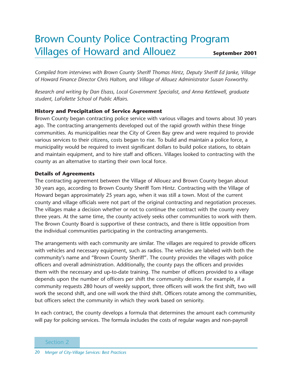### Brown County Police Contracting Program Villages of Howard and Allouez **September 2001**

*Compiled from interviews with Brown County Sheriff Thomas Hintz, Deputy Sheriff Ed Janke, Village of Howard Finance Director Chris Haltom, and Village of Allouez Administrator Susan Foxworthy.*

*Research and writing by Dan Elsass, Local Government Specialist, and Anna Kettlewell, graduate student, LaFollette School of Public Affairs.*

### **History and Precipitation of Service Agreement**

Brown County began contracting police service with various villages and towns about 30 years ago. The contracting arrangements developed out of the rapid growth within these fringe communities. As municipalities near the City of Green Bay grew and were required to provide various services to their citizens, costs began to rise. To build and maintain a police force, a municipality would be required to invest significant dollars to build police stations, to obtain and maintain equipment, and to hire staff and officers. Villages looked to contracting with the county as an alternative to starting their own local force.

### **Details of Agreements**

The contracting agreement between the Village of Allouez and Brown County began about 30 years ago, according to Brown County Sheriff Tom Hintz. Contracting with the Village of Howard began approximately 25 years ago, when it was still a town. Most of the current county and village officials were not part of the original contracting and negotiation processes. The villages make a decision whether or not to continue the contract with the county every three years. At the same time, the county actively seeks other communities to work with them. The Brown County Board is supportive of these contracts, and there is little opposition from the individual communities participating in the contracting arrangements.

The arrangements with each community are similar. The villages are required to provide officers with vehicles and necessary equipment, such as radios. The vehicles are labeled with both the community's name and "Brown County Sheriff". The county provides the villages with police officers and overall administration. Additionally, the county pays the officers and provides them with the necessary and up-to-date training. The number of officers provided to a village depends upon the number of officers per shift the community desires. For example, if a community requests 280 hours of weekly support, three officers will work the first shift, two will work the second shift, and one will work the third shift. Officers rotate among the communities, but officers select the community in which they work based on seniority.

In each contract, the county develops a formula that determines the amount each community will pay for policing services. The formula includes the costs of regular wages and non-payroll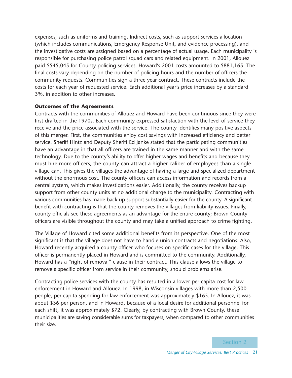expenses, such as uniforms and training. Indirect costs, such as support services allocation (which includes communications, Emergency Response Unit, and evidence processing), and the investigative costs are assigned based on a percentage of actual usage. Each municipality is responsible for purchasing police patrol squad cars and related equipment. In 2001, Allouez paid \$545,045 for County policing services. Howard's 2001 costs amounted to \$881,165. The final costs vary depending on the number of policing hours and the number of officers the community requests. Communities sign a three year contract. These contracts include the costs for each year of requested service. Each additional year's price increases by a standard 3%, in addition to other increases.

### **Outcomes of the Agreements**

Contracts with the communities of Allouez and Howard have been continuous since they were first drafted in the 1970s. Each community expressed satisfaction with the level of service they receive and the price associated with the service. The county identifies many positive aspects of this merger. First, the communities enjoy cost savings with increased efficiency and better service. Sheriff Hintz and Deputy Sheriff Ed Janke stated that the participating communities have an advantage in that all officers are trained in the same manner and with the same technology. Due to the county's ability to offer higher wages and benefits and because they must hire more officers, the county can attract a higher caliber of employees than a single village can. This gives the villages the advantage of having a large and specialized department without the enormous cost. The county officers can access information and records from a central system, which makes investigations easier. Additionally, the county receives backup support from other county units at no additional charge to the municipality. Contracting with various communities has made back-up support substantially easier for the county. A significant benefit with contracting is that the county removes the villages from liability issues. Finally, county officials see these agreements as an advantage for the entire county; Brown County officers are visible throughout the county and may take a unified approach to crime fighting.

The Village of Howard cited some additional benefits from its perspective. One of the most significant is that the village does not have to handle union contracts and negotiations. Also, Howard recently acquired a county officer who focuses on specific cases for the village. This officer is permanently placed in Howard and is committed to the community. Additionally, Howard has a "right of removal" clause in their contract. This clause allows the village to remove a specific officer from service in their community, should problems arise.

Contracting police services with the county has resulted in a lower per capita cost for law enforcement in Howard and Allouez. In 1998, in Wisconsin villages with more than 2,500 people, per capita spending for law enforcement was approximately \$165. In Allouez, it was about \$36 per person, and in Howard, because of a local desire for additional personnel for each shift, it was approximately \$72. Clearly, by contracting with Brown County, these municipalities are saving considerable sums for taxpayers, when compared to other communities their size.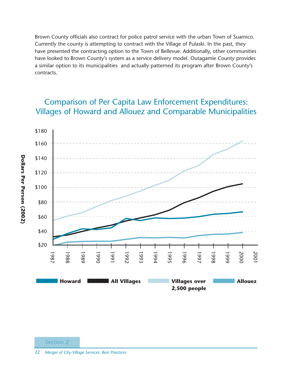Brown County officials also contract for police patrol service with the urban Town of Suamico. Currently the county is attempting to contract with the Village of Pulaski. In the past, they have presented the contracting option to the Town of Bellevue. Additionally, other communities have looked to Brown County's system as a service delivery model. Outagamie County provides a similar option to its municipalities and actually patterned its program after Brown County's contracts.

### Comparison of Per Capita Law Enforcement Expenditures: Villages of Howard and Allouez and Comparable Municipalities

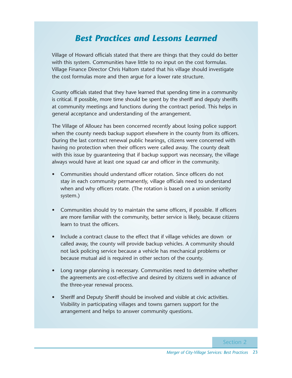### *Best Practices and Lessons Learned*

Village of Howard officials stated that there are things that they could do better with this system. Communities have little to no input on the cost formulas. Village Finance Director Chris Haltom stated that his village should investigate the cost formulas more and then argue for a lower rate structure.

County officials stated that they have learned that spending time in a community is critical. If possible, more time should be spent by the sheriff and deputy sheriffs at community meetings and functions during the contract period. This helps in general acceptance and understanding of the arrangement.

The Village of Allouez has been concerned recently about losing police support when the county needs backup support elsewhere in the county from its officers. During the last contract renewal public hearings, citizens were concerned with having no protection when their officers were called away. The county dealt with this issue by guaranteeing that if backup support was necessary, the village always would have at least one squad car and officer in the community.

- Communities should understand officer rotation. Since officers do not stay in each community permanently, village officials need to understand when and why officers rotate. (The rotation is based on a union seniority system.)
- Communities should try to maintain the same officers, if possible. If officers are more familiar with the community, better service is likely, because citizens learn to trust the officers.
- Include a contract clause to the effect that if village vehicles are down or called away, the county will provide backup vehicles. A community should not lack policing service because a vehicle has mechanical problems or because mutual aid is required in other sectors of the county.
- Long range planning is necessary. Communities need to determine whether the agreements are cost-effective and desired by citizens well in advance of the three-year renewal process.
- Sheriff and Deputy Sheriff should be involved and visible at civic activities. Visibility in participating villages and towns garners support for the arrangement and helps to answer community questions.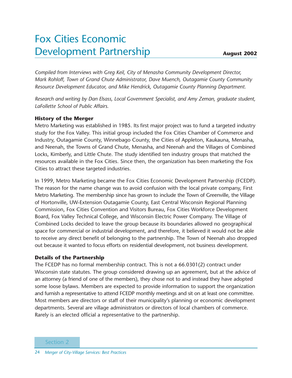## Fox Cities Economic Development Partnership

*Compiled from Interviews with Greg Keil, City of Menasha Community Development Director, Mark Rohloff, Town of Grand Chute Administrator, Dave Muench, Outagamie County Community Resource Development Educator, and Mike Hendrick, Outagamie County Planning Department.* 

*Research and writing by Dan Elsass, Local Government Specialist, and Amy Zeman, graduate student, LaFollette School of Public Affairs.* 

### **History of the Merger**

Metro Marketing was established in 1985. Its first major project was to fund a targeted industry study for the Fox Valley. This initial group included the Fox Cities Chamber of Commerce and Industry, Outagamie County, Winnebago County, the Cities of Appleton, Kaukauna, Menasha, and Neenah, the Towns of Grand Chute, Menasha, and Neenah and the Villages of Combined Locks, Kimberly, and Little Chute. The study identified ten industry groups that matched the resources available in the Fox Cities. Since then, the organization has been marketing the Fox Cities to attract these targeted industries.

In 1999, Metro Marketing became the Fox Cities Economic Development Partnership (FCEDP). The reason for the name change was to avoid confusion with the local private company, First Metro Marketing. The membership since has grown to include the Town of Greenville, the Village of Hortonville, UW-Extension Outagamie County, East Central Wisconsin Regional Planning Commission, Fox Cities Convention and Visitors Bureau, Fox Cities Workforce Development Board, Fox Valley Technical College, and Wisconsin Electric Power Company. The Village of Combined Locks decided to leave the group because its boundaries allowed no geographical space for commercial or industrial development, and therefore, it believed it would not be able to receive any direct benefit of belonging to the partnership. The Town of Neenah also dropped out because it wanted to focus efforts on residential development, not business development.

### **Details of the Partnership**

The FCEDP has no formal membership contract. This is not a 66.0301(2) contract under Wisconsin state statutes. The group considered drawing up an agreement, but at the advice of an attorney (a friend of one of the members), they chose not to and instead they have adopted some loose bylaws. Members are expected to provide information to support the organization and furnish a representative to attend FCEDP monthly meetings and sit on at least one committee. Most members are directors or staff of their municipality's planning or economic development departments. Several are village administrators or directors of local chambers of commerce. Rarely is an elected official a representative to the partnership.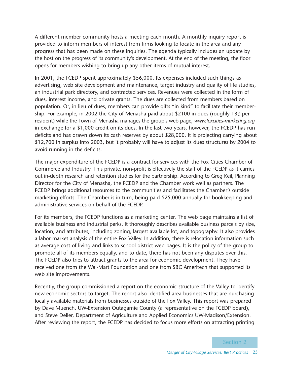A different member community hosts a meeting each month. A monthly inquiry report is provided to inform members of interest from firms looking to locate in the area and any progress that has been made on these inquiries. The agenda typically includes an update by the host on the progress of its community's development. At the end of the meeting, the floor opens for members wishing to bring up any other items of mutual interest.

In 2001, the FCEDP spent approximately \$56,000. Its expenses included such things as advertising, web site development and maintenance, target industry and quality of life studies, an industrial park directory, and contracted services. Revenues were collected in the form of dues, interest income, and private grants. The dues are collected from members based on population. Or, in lieu of dues, members can provide gifts "in kind" to facilitate their membership. For example, in 2002 the City of Menasha paid about \$2100 in dues (roughly 13¢ per resident) while the Town of Menasha manages the group's web page, *www.foxcities-marketing.org* in exchange for a \$1,000 credit on its dues. In the last two years, however, the FCEDP has run deficits and has drawn down its cash reserves by about \$28,000. It is projecting carrying about \$12,700 in surplus into 2003, but it probably will have to adjust its dues structures by 2004 to avoid running in the deficits.

The major expenditure of the FCEDP is a contract for services with the Fox Cities Chamber of Commerce and Industry. This private, non-profit is effectively the staff of the FCEDP as it carries out in-depth research and retention studies for the partnership. According to Greg Keil, Planning Director for the City of Menasha, the FCEDP and the Chamber work well as partners. The FCEDP brings additional resources to the communities and facilitates the Chamber's outside marketing efforts. The Chamber is in turn, being paid \$25,000 annually for bookkeeping and administrative services on behalf of the FCEDP.

For its members, the FCEDP functions as a marketing center. The web page maintains a list of available business and industrial parks. It thoroughly describes available business parcels by size, location, and attributes, including zoning, largest available lot, and topography. It also provides a labor market analysis of the entire Fox Valley. In addition, there is relocation information such as average cost of living and links to school district web pages. It is the policy of the group to promote all of its members equally, and to date, there has not been any disputes over this. The FCEDP also tries to attract grants to the area for economic development. They have received one from the Wal-Mart Foundation and one from SBC Ameritech that supported its web site improvements.

Recently, the group commissioned a report on the economic structure of the Valley to identify new economic sectors to target. The report also identified area businesses that are purchasing locally available materials from businesses outside of the Fox Valley. This report was prepared by Dave Muench, UW-Extension Outagamie County (a representative on the FCEDP board), and Steve Deller, Department of Agriculture and Applied Economics UW-Madison/Extension. After reviewing the report, the FCEDP has decided to focus more efforts on attracting printing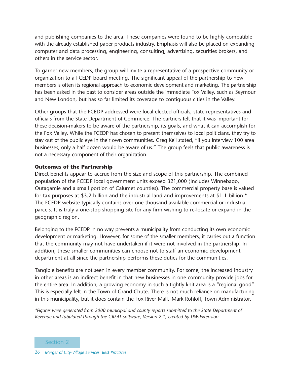and publishing companies to the area. These companies were found to be highly compatible with the already established paper products industry. Emphasis will also be placed on expanding computer and data processing, engineering, consulting, advertising, securities brokers, and others in the service sector.

To garner new members, the group will invite a representative of a prospective community or organization to a FCEDP board meeting. The significant appeal of the partnership to new members is often its regional approach to economic development and marketing. The partnership has been asked in the past to consider areas outside the immediate Fox Valley, such as Seymour and New London, but has so far limited its coverage to contiguous cities in the Valley.

Other groups that the FCEDP addressed were local elected officials, state representatives and officials from the State Department of Commerce. The partners felt that it was important for these decision-makers to be aware of the partnership, its goals, and what it can accomplish for the Fox Valley. While the FCEDP has chosen to present themselves to local politicians, they try to stay out of the public eye in their own communities. Greg Keil stated, "if you interview 100 area businesses, only a half-dozen would be aware of us." The group feels that public awareness is not a necessary component of their organization.

### **Outcomes of the Partnership**

Direct benefits appear to accrue from the size and scope of this partnership. The combined population of the FCEDP local government units exceed 321,000 (Includes Winnebago, Outagamie and a small portion of Calumet counties). The commercial property base is valued for tax purposes at \$3.2 billion and the industrial land and improvements at \$1.1 billion.\* The FCEDP website typically contains over one thousand available commercial or industrial parcels. It is truly a one-stop shopping site for any firm wishing to re-locate or expand in the geographic region.

Belonging to the FCEDP in no way prevents a municipality from conducting its own economic development or marketing. However, for some of the smaller members, it carries out a function that the community may not have undertaken if it were not involved in the partnership. In addition, these smaller communities can choose not to staff an economic development department at all since the partnership performs these duties for the communities.

Tangible benefits are not seen in every member community. For some, the increased industry in other areas is an indirect benefit in that new businesses in one community provide jobs for the entire area. In addition, a growing economy in such a tightly knit area is a "regional good". This is especially felt in the Town of Grand Chute. There is not much reliance on manufacturing in this municipality, but it does contain the Fox River Mall. Mark Rohloff, Town Administrator,

*\*Figures were generated from 2000 municipal and county reports submitted to the State Department of Revenue and tabulated through the GREAT software, Version 2.1, created by UW-Extension.*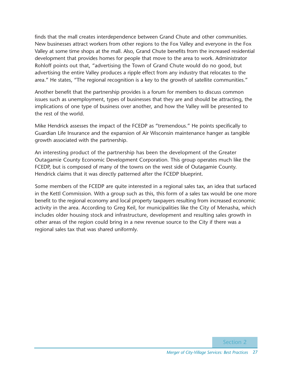finds that the mall creates interdependence between Grand Chute and other communities. New businesses attract workers from other regions to the Fox Valley and everyone in the Fox Valley at some time shops at the mall. Also, Grand Chute benefits from the increased residential development that provides homes for people that move to the area to work. Administrator Rohloff points out that, "advertising the Town of Grand Chute would do no good, but advertising the entire Valley produces a ripple effect from any industry that relocates to the area." He states, "The regional recognition is a key to the growth of satellite communities."

Another benefit that the partnership provides is a forum for members to discuss common issues such as unemployment, types of businesses that they are and should be attracting, the implications of one type of business over another, and how the Valley will be presented to the rest of the world.

Mike Hendrick assesses the impact of the FCEDP as "tremendous." He points specifically to Guardian Life Insurance and the expansion of Air Wisconsin maintenance hanger as tangible growth associated with the partnership.

An interesting product of the partnership has been the development of the Greater Outagamie County Economic Development Corporation. This group operates much like the FCEDP, but is composed of many of the towns on the west side of Outagamie County. Hendrick claims that it was directly patterned after the FCEDP blueprint.

Some members of the FCEDP are quite interested in a regional sales tax, an idea that surfaced in the Kettl Commission. With a group such as this, this form of a sales tax would be one more benefit to the regional economy and local property taxpayers resulting from increased economic activity in the area. According to Greg Keil, for municipalities like the City of Menasha, which includes older housing stock and infrastructure, development and resulting sales growth in other areas of the region could bring in a new revenue source to the City if there was a regional sales tax that was shared uniformly.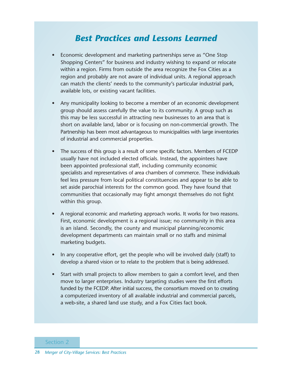### *Best Practices and Lessons Learned*

- Economic development and marketing partnerships serve as "One Stop Shopping Centers" for business and industry wishing to expand or relocate within a region. Firms from outside the area recognize the Fox Cities as a region and probably are not aware of individual units. A regional approach can match the clients' needs to the community's particular industrial park, available lots, or existing vacant facilities.
- Any municipality looking to become a member of an economic development group should assess carefully the value to its community. A group such as this may be less successful in attracting new businesses to an area that is short on available land, labor or is focusing on non-commercial growth. The Partnership has been most advantageous to municipalities with large inventories of industrial and commercial properties.
- The success of this group is a result of some specific factors. Members of FCEDP usually have not included elected officials. Instead, the appointees have been appointed professional staff, including community economic specialists and representatives of area chambers of commerce. These individuals feel less pressure from local political constituencies and appear to be able to set aside parochial interests for the common good. They have found that communities that occasionally may fight amongst themselves do not fight within this group.
- A regional economic and marketing approach works. It works for two reasons. First, economic development is a regional issue; no community in this area is an island. Secondly, the county and municipal planning/economic development departments can maintain small or no staffs and minimal marketing budgets.
- In any cooperative effort, get the people who will be involved daily (staff) to develop a shared vision or to relate to the problem that is being addressed.
- Start with small projects to allow members to gain a comfort level, and then move to larger enterprises. Industry targeting studies were the first efforts funded by the FCEDP. After initial success, the consortium moved on to creating a computerized inventory of all available industrial and commercial parcels, a web-site, a shared land use study, and a Fox Cities fact book.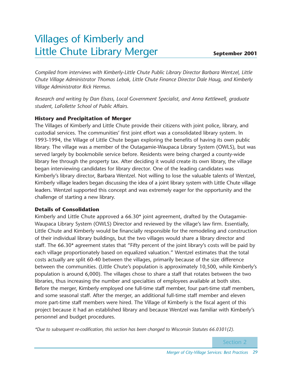## Villages of Kimberly and Little Chute Library Merger

*Compiled from interviews with Kimberly-Little Chute Public Library Director Barbara Wentzel, Little Chute Village Administrator Thomas Lebak, Little Chute Finance Director Dale Haug, and Kimberly Village Administrator Rick Hermus.*

*Research and writing by Dan Elsass, Local Government Specialist, and Anna Kettlewell, graduate student, LaFollette School of Public Affairs.*

### **History and Precipitation of Merger**

The Villages of Kimberly and Little Chute provide their citizens with joint police, library, and custodial services. The communities' first joint effort was a consolidated library system. In 1993-1994, the Village of Little Chute began exploring the benefits of having its own public library. The village was a member of the Outagamie-Waupaca Library System (OWLS), but was served largely by bookmobile service before. Residents were being charged a county-wide library fee through the property tax. After deciding it would create its own library, the village began interviewing candidates for library director. One of the leading candidates was Kimberly's library director, Barbara Wentzel. Not willing to lose the valuable talents of Wentzel, Kimberly village leaders began discussing the idea of a joint library system with Little Chute village leaders. Wentzel supported this concept and was extremely eager for the opportunity and the challenge of starting a new library.

### **Details of Consolidation**

Kimberly and Little Chute approved a 66.30\* joint agreement, drafted by the Outagamie-Waupaca Library System (OWLS) Director and reviewed by the village's law firm. Essentially, Little Chute and Kimberly would be financially responsible for the remodeling and construction of their individual library buildings, but the two villages would share a library director and staff. The 66.30\* agreement states that "Fifty percent of the joint library's costs will be paid by each village proportionately based on equalized valuation." Wentzel estimates that the total costs actually are split 60-40 between the villages, primarily because of the size difference between the communities. (Little Chute's population is approximately 10,500, while Kimberly's population is around 6,000). The villages chose to share a staff that rotates between the two libraries, thus increasing the number and specialties of employees available at both sites. Before the merger, Kimberly employed one full-time staff member, four part-time staff members, and some seasonal staff. After the merger, an additional full-time staff member and eleven more part-time staff members were hired. The Village of Kimberly is the fiscal agent of this project because it had an established library and because Wentzel was familiar with Kimberly's personnel and budget procedures.

*\*Due to subsequent re-codification, this section has been changed to Wisconsin Statutes 66.0301(2).*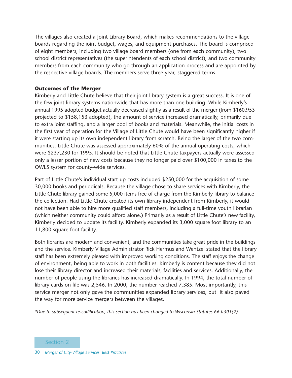The villages also created a Joint Library Board, which makes recommendations to the village boards regarding the joint budget, wages, and equipment purchases. The board is comprised of eight members, including two village board members (one from each community), two school district representatives (the superintendents of each school district), and two community members from each community who go through an application process and are appointed by the respective village boards. The members serve three-year, staggered terms.

#### **Outcomes of the Merger**

Kimberly and Little Chute believe that their joint library system is a great success. It is one of the few joint library systems nationwide that has more than one building. While Kimberly's annual 1995 adopted budget actually decreased slightly as a result of the merger (from \$160,953 projected to \$158,153 adopted), the amount of service increased dramatically, primarily due to extra joint staffing, and a larger pool of books and materials. Meanwhile, the initial costs in the first year of operation for the Village of Little Chute would have been significantly higher if it were starting up its own independent library from scratch. Being the larger of the two communities, Little Chute was assessed approximately 60% of the annual operating costs, which were \$237,230 for 1995. It should be noted that Little Chute taxpayers actually were assessed only a lesser portion of new costs because they no longer paid over \$100,000 in taxes to the OWLS system for county-wide services.

Part of Little Chute's individual start-up costs included \$250,000 for the acquisition of some 30,000 books and periodicals. Because the village chose to share services with Kimberly, the Little Chute library gained some 5,000 items free of charge from the Kimberly library to balance the collection. Had Little Chute created its own library independent from Kimberly, it would not have been able to hire more qualified staff members, including a full-time youth librarian (which neither community could afford alone.) Primarily as a result of Little Chute's new facility, Kimberly decided to update its facility. Kimberly expanded its 3,000 square foot library to an 11,800-square-foot facility.

Both libraries are modern and convenient, and the communities take great pride in the buildings and the service. Kimberly Village Administrator Rick Hermus and Wentzel stated that the library staff has been extremely pleased with improved working conditions. The staff enjoys the change of environment, being able to work in both facilities. Kimberly is content because they did not lose their library director and increased their materials, facilities and services. Additionally, the number of people using the libraries has increased dramatically. In 1994, the total number of library cards on file was 2,546. In 2000, the number reached 7,385. Most importantly, this service merger not only gave the communities expanded library services, but it also paved the way for more service mergers between the villages.

*\*Due to subsequent re-codification, this section has been changed to Wisconsin Statutes 66.0301(2).*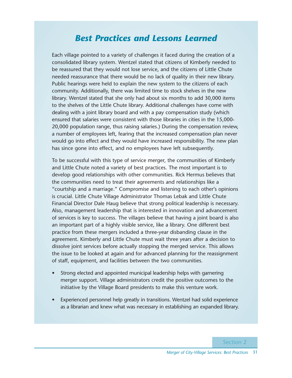### *Best Practices and Lessons Learned*

Each village pointed to a variety of challenges it faced during the creation of a consolidated library system. Wentzel stated that citizens of Kimberly needed to be reassured that they would not lose service, and the citizens of Little Chute needed reassurance that there would be no lack of quality in their new library. Public hearings were held to explain the new system to the citizens of each community. Additionally, there was limited time to stock shelves in the new library. Wentzel stated that she only had about six months to add 30,000 items to the shelves of the Little Chute library. Additional challenges have come with dealing with a joint library board and with a pay compensation study (which ensured that salaries were consistent with those libraries in cities in the 15,000- 20,000 population range, thus raising salaries.) During the compensation review, a number of employees left, fearing that the increased compensation plan never would go into effect and they would have increased responsibility. The new plan has since gone into effect, and no employees have left subsequently.

To be successful with this type of service merger, the communities of Kimberly and Little Chute noted a variety of best practices. The most important is to develop good relationships with other communities. Rick Hermus believes that the communities need to treat their agreements and relationships like a "courtship and a marriage." Compromise and listening to each other's opinions is crucial. Little Chute Village Administrator Thomas Lebak and Little Chute Financial Director Dale Haug believe that strong political leadership is necessary. Also, management leadership that is interested in innovation and advancement of services is key to success. The villages believe that having a joint board is also an important part of a highly visible service, like a library. One different best practice from these mergers included a three-year disbanding clause in the agreement. Kimberly and Little Chute must wait three years after a decision to dissolve joint services before actually stopping the merged service. This allows the issue to be looked at again and for advanced planning for the reassignment of staff, equipment, and facilities between the two communities.

- Strong elected and appointed municipal leadership helps with garnering merger support. Village administrators credit the positive outcomes to the initiative by the Village Board presidents to make this venture work.
- Experienced personnel help greatly in transitions. Wentzel had solid experience as a librarian and knew what was necessary in establishing an expanded library.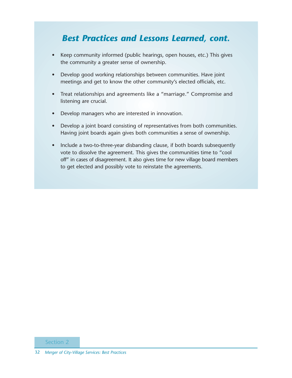### *Best Practices and Lessons Learned, cont.*

- Keep community informed (public hearings, open houses, etc.) This gives the community a greater sense of ownership.
- Develop good working relationships between communities. Have joint meetings and get to know the other community's elected officials, etc.
- Treat relationships and agreements like a "marriage." Compromise and listening are crucial.
- Develop managers who are interested in innovation.
- Develop a joint board consisting of representatives from both communities. Having joint boards again gives both communities a sense of ownership.
- Include a two-to-three-year disbanding clause, if both boards subsequently vote to dissolve the agreement. This gives the communities time to "cool off" in cases of disagreement. It also gives time for new village board members to get elected and possibly vote to reinstate the agreements.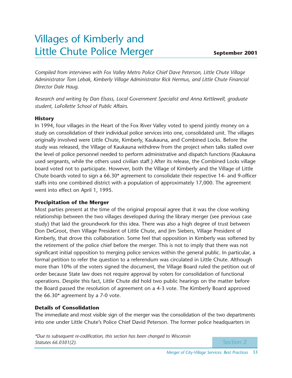## Villages of Kimberly and Little Chute Police Merger

*Compiled from interviews with Fox Valley Metro Police Chief Dave Peterson, Little Chute Village Administrator Tom Lebak, Kimberly Village Administrator Rick Hermus, and Little Chute Financial Director Dale Haug.*

*Research and writing by Dan Elsass, Local Government Specialist and Anna Kettlewell, graduate student, LaFollette School of Public Affairs.*

### **History**

In 1994, four villages in the Heart of the Fox River Valley voted to spend jointly money on a study on consolidation of their individual police services into one, consolidated unit. The villages originally involved were Little Chute, Kimberly, Kaukauna, and Combined Locks. Before the study was released, the Village of Kaukauna withdrew from the project when talks stalled over the level of police personnel needed to perform administrative and dispatch functions (Kaukauna used sergeants, while the others used civilian staff.) After its release, the Combined Locks village board voted not to participate. However, both the Village of Kimberly and the Village of Little Chute boards voted to sign a 66.30\* agreement to consolidate their respective 14- and 9-officer staffs into one combined district with a population of approximately 17,000. The agreement went into effect on April 1, 1995.

### **Precipitation of the Merger**

Most parties present at the time of the original proposal agree that it was the close working relationship between the two villages developed during the library merger (see previous case study) that laid the groundwork for this idea. There was also a high degree of trust between Don DeGroot, then Village President of Little Chute, and Jim Siebers, Village President of Kimberly, that drove this collaboration. Some feel that opposition in Kimberly was softened by the retirement of the police chief before the merger. This is not to imply that there was not significant initial opposition to merging police services within the general public. In particular, a formal petition to refer the question to a referendum was circulated in Little Chute. Although more than 10% of the voters signed the document, the Village Board ruled the petition out of order because State law does not require approval by voters for consolidation of functional operations. Despite this fact, Little Chute did hold two public hearings on the matter before the Board passed the resolution of agreement on a 4-3 vote. The Kimberly Board approved the 66.30\* agreement by a 7-0 vote.

### **Details of Consolidation**

The immediate and most visible sign of the merger was the consolidation of the two departments into one under Little Chute's Police Chief David Peterson. The former police headquarters in

*\*Due to subsequent re-codification, this section has been changed to Wisconsin Statutes 66.0301(2).*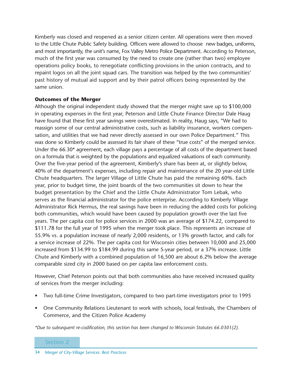Kimberly was closed and reopened as a senior citizen center. All operations were then moved to the Little Chute Public Safety building. Officers were allowed to choose new badges, uniforms, and most importantly, the unit's name, Fox Valley Metro Police Department. According to Peterson, much of the first year was consumed by the need to create one (rather than two) employee operations policy books, to renegotiate conflicting provisions in the union contracts, and to repaint logos on all the joint squad cars. The transition was helped by the two communities' past history of mutual aid support and by their patrol officers being represented by the same union.

#### **Outcomes of the Merger**

Although the original independent study showed that the merger might save up to \$100,000 in operating expenses in the first year, Peterson and Little Chute Finance Director Dale Haug have found that these first year savings were overestimated. In reality, Haug says, "We had to reassign some of our central administrative costs, such as liability insurance, workers compensation, and utilities that we had never directly assessed in our own Police Department." This was done so Kimberly could be assessed its fair share of these "true costs" of the merged service. Under the 66.30\* agreement, each village pays a percentage of all costs of the department based on a formula that is weighted by the populations and equalized valuations of each community. Over the five-year period of the agreement, Kimberly's share has been at, or slightly below, 40% of the department's expenses, including repair and maintenance of the 20 year-old Little Chute headquarters. The larger Village of Little Chute has paid the remaining 60%. Each year, prior to budget time, the joint boards of the two communities sit down to hear the budget presentation by the Chief and the Little Chute Administrator Tom Lebak, who serves as the financial administrator for the police enterprise. According to Kimberly Village Administrator Rick Hermus, the real savings have been in reducing the added costs for policing both communities, which would have been caused by population growth over the last five years. The per capita cost for police services in 2000 was an average of \$174.22, compared to \$111.78 for the full year of 1995 when the merger took place. This represents an increase of 55.9% vs. a population increase of nearly 2,000 residents, or 13% growth factor, and calls for a service increase of 22%. The per capita cost for Wisconsin cities between 10,000 and 25,000 increased from \$134.99 to \$184.99 during this same 5-year period, or a 37% increase. Little Chute and Kimberly with a combined population of 16,500 are about 6.2% below the average comparable sized city in 2000 based on per capita law enforcement costs.

However, Chief Peterson points out that both communities also have received increased quality of services from the merger including:

- Two full-time Crime Investigators, compared to two part-time investigators prior to 1995
- One Community Relations Lieutenant to work with schools, local festivals, the Chambers of Commerce, and the Citizen Police Academy

*\*Due to subsequent re-codification, this section has been changed to Wisconsin Statutes 66.0301(2).*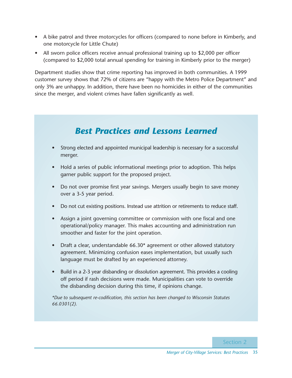- A bike patrol and three motorcycles for officers (compared to none before in Kimberly, and one motorcycle for Little Chute)
- All sworn police officers receive annual professional training up to \$2,000 per officer (compared to \$2,000 total annual spending for training in Kimberly prior to the merger)

Department studies show that crime reporting has improved in both communities. A 1999 customer survey shows that 72% of citizens are "happy with the Metro Police Department" and only 3% are unhappy. In addition, there have been no homicides in either of the communities since the merger, and violent crimes have fallen significantly as well.

### *Best Practices and Lessons Learned*

- Strong elected and appointed municipal leadership is necessary for a successful merger.
- Hold a series of public informational meetings prior to adoption. This helps garner public support for the proposed project.
- Do not over promise first year savings. Mergers usually begin to save money over a 3-5 year period.
- Do not cut existing positions. Instead use attrition or retirements to reduce staff.
- Assign a joint governing committee or commission with one fiscal and one operational/policy manager. This makes accounting and administration run smoother and faster for the joint operation.
- Draft a clear, understandable 66.30\* agreement or other allowed statutory agreement. Minimizing confusion eases implementation, but usually such language must be drafted by an experienced attorney.
- Build in a 2-3 year disbanding or dissolution agreement. This provides a cooling off period if rash decisions were made. Municipalities can vote to override the disbanding decision during this time, if opinions change.

*\*Due to subsequent re-codification, this section has been changed to Wisconsin Statutes 66.0301(2).*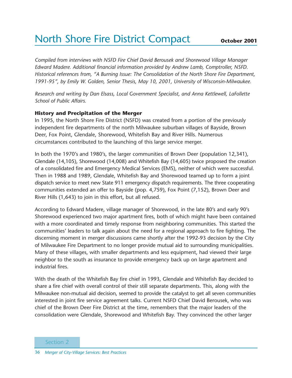## North Shore Fire District Compact

*Compiled from interviews with NSFD Fire Chief David Berousek and Shorewood Village Manager Edward Madere. Additional financial information provided by Andrew Lamb, Comptroller, NSFD. Historical references from, "A Burning Issue: The Consolidation of the North Shore Fire Department, 1991-95", by Emily W. Golden, Senior Thesis, May 10, 2001, University of Wisconsin-Milwaukee.* 

*Research and writing by Dan Elsass, Local Government Specialist, and Anna Kettlewell, LaFollette School of Public Affairs.*

### **History and Precipitation of the Merger**

In 1995, the North Shore Fire District (NSFD) was created from a portion of the previously independent fire departments of the north Milwaukee suburban villages of Bayside, Brown Deer, Fox Point, Glendale, Shorewood, Whitefish Bay and River Hills. Numerous circumstances contributed to the launching of this large service merger.

In both the 1970's and 1980's, the larger communities of Brown Deer (population 12,341), Glendale (14,105), Shorewood (14,008) and Whitefish Bay (14,605) twice proposed the creation of a consolidated fire and Emergency Medical Services (EMS), neither of which were successful. Then in 1988 and 1989, Glendale, Whitefish Bay and Shorewood teamed up to form a joint dispatch service to meet new State 911 emergency dispatch requirements. The three cooperating communities extended an offer to Bayside (pop. 4,759), Fox Point (7,152), Brown Deer and River Hills (1,643) to join in this effort, but all refused.

According to Edward Madere, village manager of Shorewood, in the late 80's and early 90's Shorewood experienced two major apartment fires, both of which might have been contained with a more coordinated and timely response from neighboring communities. This started the communities' leaders to talk again about the need for a regional approach to fire fighting. The discerning moment in merger discussions came shortly after the 1992-93 decision by the City of Milwaukee Fire Department to no longer provide mutual aid to surrounding municipalities. Many of these villages, with smaller departments and less equipment, had viewed their large neighbor to the south as insurance to provide emergency back up on large apartment and industrial fires.

With the death of the Whitefish Bay fire chief in 1993, Glendale and Whitefish Bay decided to share a fire chief with overall control of their still separate departments. This, along with the Milwaukee non-mutual aid decision, seemed to provide the catalyst to get all seven communities interested in joint fire service agreement talks. Current NSFD Chief David Berousek, who was chief of the Brown Deer Fire District at the time, remembers that the major leaders of the consolidation were Glendale, Shorewood and Whitefish Bay. They convinced the other larger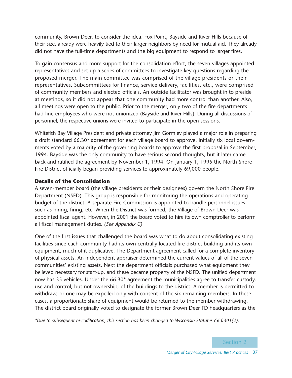community, Brown Deer, to consider the idea. Fox Point, Bayside and River Hills because of their size, already were heavily tied to their larger neighbors by need for mutual aid. They already did not have the full-time departments and the big equipment to respond to larger fires.

To gain consensus and more support for the consolidation effort, the seven villages appointed representatives and set up a series of committees to investigate key questions regarding the proposed merger. The main committee was comprised of the village presidents or their representatives. Subcommittees for finance, service delivery, facilities, etc., were comprised of community members and elected officials. An outside facilitator was brought in to preside at meetings, so it did not appear that one community had more control than another. Also, all meetings were open to the public. Prior to the merger, only two of the fire departments had line employees who were not unionized (Bayside and River Hills). During all discussions of personnel, the respective unions were invited to participate in the open sessions.

Whitefish Bay Village President and private attorney Jim Gormley played a major role in preparing a draft standard 66.30\* agreement for each village board to approve. Initially six local governments voted by a majority of the governing boards to approve the first proposal in September, 1994. Bayside was the only community to have serious second thoughts, but it later came back and ratified the agreement by November 1, 1994. On January 1, 1995 the North Shore Fire District officially began providing services to approximately 69,000 people.

### **Details of the Consolidation**

A seven-member board (the village presidents or their designees) govern the North Shore Fire Department (NSFD). This group is responsible for monitoring the operations and operating budget of the district. A separate Fire Commission is appointed to handle personnel issues such as hiring, firing, etc. When the District was formed, the Village of Brown Deer was appointed fiscal agent. However, in 2001 the board voted to hire its own comptroller to perform all fiscal management duties. *(See Appendix C)*

One of the first issues that challenged the board was what to do about consolidating existing facilities since each community had its own centrally located fire district building and its own equipment, much of it duplicative. The Department agreement called for a complete inventory of physical assets. An independent appraiser determined the current values of all of the seven communities' existing assets. Next the department officials purchased what equipment they believed necessary for start-up, and these became property of the NSFD. The unified department now has 35 vehicles. Under the 66.30<sup>\*</sup> agreement the municipalities agree to transfer custody, use and control, but not ownership, of the buildings to the district. A member is permitted to withdraw, or one may be expelled only with consent of the six remaining members. In these cases, a proportionate share of equipment would be returned to the member withdrawing. The district board originally voted to designate the former Brown Deer FD headquarters as the

*\*Due to subsequent re-codification, this section has been changed to Wisconsin Statutes 66.0301(2).*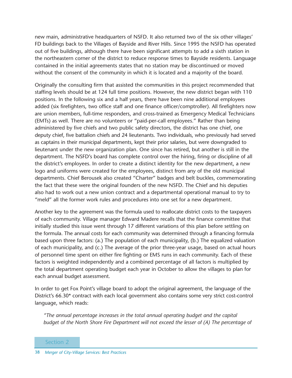new main, administrative headquarters of NSFD. It also returned two of the six other villages' FD buildings back to the Villages of Bayside and River Hills. Since 1995 the NSFD has operated out of five buildings, although there have been significant attempts to add a sixth station in the northeastern corner of the district to reduce response times to Bayside residents. Language contained in the initial agreements states that no station may be discontinued or moved without the consent of the community in which it is located and a majority of the board.

Originally the consulting firm that assisted the communities in this project recommended that staffing levels should be at 124 full time positions. However, the new district began with 110 positions. In the following six and a half years, there have been nine additional employees added (six firefighters, two office staff and one finance officer/comptroller). All firefighters now are union members, full-time responders, and cross-trained as Emergency Medical Technicians (EMTs) as well. There are no volunteers or "paid-per-call employees." Rather than being administered by five chiefs and two public safety directors, the district has one chief, one deputy chief, five battalion chiefs and 24 lieutenants. Two individuals, who previously had served as captains in their municipal departments, kept their prior salaries, but were downgraded to lieutenant under the new organization plan. One since has retired, but another is still in the department. The NSFD's board has complete control over the hiring, firing or discipline of all the district's employees. In order to create a distinct identity for the new department, a new logo and uniforms were created for the employees, distinct from any of the old municipal departments. Chief Berousek also created "Charter" badges and belt buckles, commemorating the fact that these were the original founders of the new NSFD. The Chief and his deputies also had to work out a new union contract and a departmental operational manual to try to "meld" all the former work rules and procedures into one set for a new department.

Another key to the agreement was the formula used to reallocate district costs to the taxpayers of each community. Village manager Edward Madere recalls that the finance committee that initially studied this issue went through 17 different variations of this plan before settling on the formula. The annual costs for each community was determined through a financing formula based upon three factors: (a.) The population of each municipality, (b.) The equalized valuation of each municipality, and (c.) The average of the prior three-year usage, based on actual hours of personnel time spent on either fire fighting or EMS runs in each community. Each of these factors is weighted independently and a combined percentage of all factors is multiplied by the total department operating budget each year in October to allow the villages to plan for each annual budget assessment.

In order to get Fox Point's village board to adopt the original agreement, the language of the District's 66.30\* contract with each local government also contains some very strict cost-control language, which reads:

*"The annual percentage increases in the total annual operating budget and the capital budget of the North Shore Fire Department will not exceed the lesser of (A) The percentage of*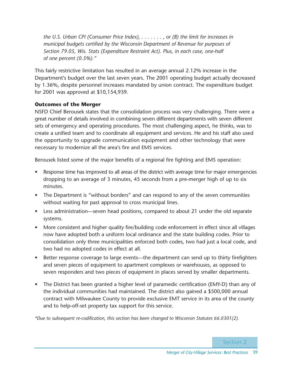*the U.S. Urban CPI (Consumer Price Index), . . . . . . . , or (B) the limit for increases in municipal budgets certified by the Wisconsin Department of Revenue for purposes of Section 79.05, Wis. Stats (Expenditure Restraint Act). Plus, in each case, one-half of one percent (0.5%)."*

This fairly restrictive limitation has resulted in an average annual 2.12% increase in the Department's budget over the last seven years. The 2001 operating budget actually decreased by 1.36%, despite personnel increases mandated by union contract. The expenditure budget for 2001 was approved at \$10,154,939.

### **Outcomes of the Merger**

NSFD Chief Berousek states that the consolidation process was very challenging. There were a great number of details involved in combining seven different departments with seven different sets of emergency and operating procedures. The most challenging aspect, he thinks, was to create a unified team and to coordinate all equipment and services. He and his staff also used the opportunity to upgrade communication equipment and other technology that were necessary to modernize all the area's fire and EMS services.

Berousek listed some of the major benefits of a regional fire fighting and EMS operation:

- Response time has improved to all areas of the district with average time for major emergencies dropping to an average of 3 minutes, 45 seconds from a pre-merger high of up to six minutes.
- The Department is "without borders" and can respond to any of the seven communities without waiting for past approval to cross municipal lines.
- Less administration—seven head positions, compared to about 21 under the old separate systems.
- More consistent and higher quality fire/building code enforcement in effect since all villages now have adopted both a uniform local ordinance and the state building codes. Prior to consolidation only three municipalities enforced both codes, two had just a local code, and two had no adopted codes in effect at all.
- Better response coverage to large events—the department can send up to thirty firefighters and seven pieces of equipment to apartment complexes or warehouses, as opposed to seven responders and two pieces of equipment in places served by smaller departments.
- The District has been granted a higher level of paramedic certification (EMY-D) than any of the individual communities had maintained. The district also gained a \$500,000 annual contract with Milwaukee County to provide exclusive EMT service in its area of the county and to help-off-set property tax support for this service.

*\*Due to subsequent re-codification, this section has been changed to Wisconsin Statutes 66.0301(2).*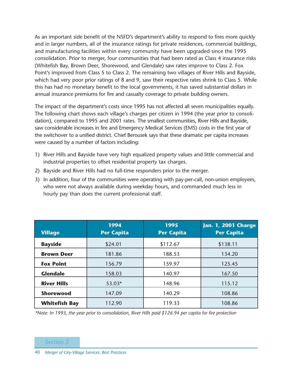As an important side benefit of the NSFD's department's ability to respond to fires more quickly and in larger numbers, all of the insurance ratings for private residences, commercial buildings, and manufacturing facilities within every community have been upgraded since the 1995 consolidation. Prior to merger, four communities that had been rated as Class 4 insurance risks (Whitefish Bay, Brown Deer, Shorewood, and Glendale) saw rates improve to Class 2. Fox Point's improved from Class 5 to Class 2. The remaining two villages of River Hills and Bayside, which had very poor prior ratings of 8 and 9, saw their respective rates shrink to Class 5. While this has had no monetary benefit to the local governments, it has saved substantial dollars in annual insurance premiums for fire and casualty coverage to private building owners.

The impact of the department's costs since 1995 has not affected all seven municipalities equally. The following chart shows each village's charges per citizen in 1994 (the year prior to consolidation), compared to 1995 and 2001 rates. The smallest communities, River Hills and Bayside, saw considerable increases in fire and Emergency Medical Services (EMS) costs in the first year of the switchover to a unified district. Chief Berousek says that these dramatic per capita increases were caused by a number of factors including:

- 1) River Hills and Bayside have very high equalized property values and little commercial and industrial properties to offset residential property tax charges.
- 2) Bayside and River Hills had no full-time responders prior to the merger.
- 3) In addition, four of the communities were operating with pay-per-call, non-union employees, who were not always available during weekday hours, and commanded much less in hourly pay than does the current professional staff.

| <b>Village</b>       | 1994<br><b>Per Capita</b> | 1995<br><b>Per Capita</b> | Jan. 1, 2001 Charge<br><b>Per Capita</b> |
|----------------------|---------------------------|---------------------------|------------------------------------------|
| <b>Bayside</b>       | \$24.01                   | \$112.67                  | \$138.11                                 |
| <b>Brown Deer</b>    | 181.86                    | 188.53                    | 134.20                                   |
| <b>Fox Point</b>     | 156.79                    | 159.97                    | 125.45                                   |
| <b>Glendale</b>      | 158.03                    | 140.97                    | 167.50                                   |
| <b>River Hills</b>   | 53.03*                    | 148.96                    | 115.12                                   |
| <b>Shorewood</b>     | 147.09                    | 140.29                    | 108.86                                   |
| <b>Whitefish Bay</b> | 112.90                    | 119.33                    | 108.86                                   |

*\*Note: In 1993, the year prior to consolidation, River Hills paid \$126.94 per capita for fire protection*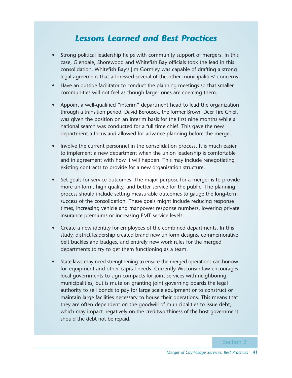### *Lessons Learned and Best Practices*

- Strong political leadership helps with community support of mergers. In this case, Glendale, Shorewood and Whitefish Bay officials took the lead in this consolidation. Whitefish Bay's Jim Gormley was capable of drafting a strong legal agreement that addressed several of the other municipalities' concerns.
- Have an outside facilitator to conduct the planning meetings so that smaller communities will not feel as though larger ones are coercing them.
- Appoint a well-qualified "interim" department head to lead the organization through a transition period. David Berousek, the former Brown Deer Fire Chief, was given the position on an interim basis for the first nine months while a national search was conducted for a full time chief. This gave the new department a focus and allowed for advance planning before the merger.
- Involve the current personnel in the consolidation process. It is much easier to implement a new department when the union leadership is comfortable and in agreement with how it will happen. This may include renegotiating existing contracts to provide for a new organization structure.
- Set goals for service outcomes. The major purpose for a merger is to provide more uniform, high quality, and better service for the public. The planning process should include setting measurable outcomes to gauge the long-term success of the consolidation. These goals might include reducing response times, increasing vehicle and manpower response numbers, lowering private insurance premiums or increasing EMT service levels.
- Create a new identity for employees of the combined departments. In this study, district leadership created brand new uniform designs, commemorative belt buckles and badges, and entirely new work rules for the merged departments to try to get them functioning as a team.
- State laws may need strengthening to ensure the merged operations can borrow for equipment and other capital needs. Currently Wisconsin law encourages local governments to sign compacts for joint services with neighboring municipalities, but is mute on granting joint governing boards the legal authority to sell bonds to pay for large scale equipment or to construct or maintain large facilities necessary to house their operations. This means that they are often dependent on the goodwill of municipalities to issue debt, which may impact negatively on the creditworthiness of the host government should the debt not be repaid.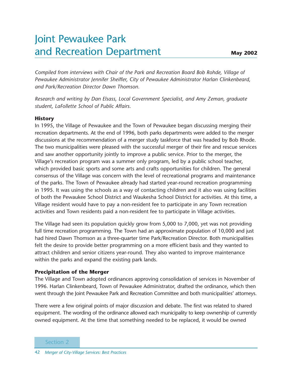## Joint Pewaukee Park and Recreation Department

*Compiled from interviews with Chair of the Park and Recreation Board Bob Rohde, Village of Pewaukee Administrator Jennifer Sheiffer, City of Pewaukee Administrator Harlan Clinkenbeard, and Park/Recreation Director Dawn Thomson.* 

*Research and writing by Dan Elsass, Local Government Specialist, and Amy Zeman, graduate student, LaFollette School of Public Affairs.*

### **History**

In 1995, the Village of Pewaukee and the Town of Pewaukee began discussing merging their recreation departments. At the end of 1996, both parks departments were added to the merger discussions at the recommendation of a merger study taskforce that was headed by Bob Rhode. The two municipalities were pleased with the successful merger of their fire and rescue services and saw another opportunity jointly to improve a public service. Prior to the merger, the Village's recreation program was a summer only program, led by a public school teacher, which provided basic sports and some arts and crafts opportunities for children. The general consensus of the Village was concern with the level of recreational programs and maintenance of the parks. The Town of Pewaukee already had started year-round recreation programming in 1995. It was using the schools as a way of contacting children and it also was using facilities of both the Pewaukee School District and Waukesha School District for activities. At this time, a Village resident would have to pay a non-resident fee to participate in any Town recreation activities and Town residents paid a non-resident fee to participate in Village activities.

The Village had seen its population quickly grow from 5,000 to 7,000, yet was not providing full time recreation programming. The Town had an approximate population of 10,000 and just had hired Dawn Thomson as a three-quarter time Park/Recreation Director. Both municipalities felt the desire to provide better programming on a more efficient basis and they wanted to attract children and senior citizens year-round. They also wanted to improve maintenance within the parks and expand the existing park lands.

### **Precipitation of the Merger**

The Village and Town adopted ordinances approving consolidation of services in November of 1996. Harlan Clinkenbeard, Town of Pewaukee Administrator, drafted the ordinance, which then went through the Joint Pewaukee Park and Recreation Committee and both municipalities' attorneys.

There were a few original points of major discussion and debate. The first was related to shared equipment. The wording of the ordinance allowed each municipality to keep ownership of currently owned equipment. At the time that something needed to be replaced, it would be owned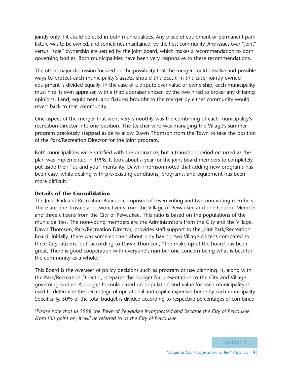jointly only if it could be used in both municipalities. Any piece of equipment or permanent park fixture was to be owned, and sometimes maintained, by the host community. Any issues over "joint" versus "sole" ownership are settled by the joint board, which makes a recommendation to both governing bodies. Both municipalities have been very responsive to these recommendations.

The other major discussion focused on the possibility that the merger could dissolve and possible ways to protect each municipality's assets, should this occur. In this case, jointly owned equipment is divided equally. In the case of a dispute over value or ownership, each municipality must hire its own appraiser, with a third appraiser chosen by the two hired to broker any differing opinions. Land, equipment, and fixtures brought to the merger by either community would revert back to that community.

One aspect of the merger that went very smoothly was the combining of each municipality's recreation director into one position. The teacher who was managing the Village's summer program graciously stepped aside to allow Dawn Thomson from the Town to take the position of the Park/Recreation Director for the joint program.

Both municipalities were satisfied with the ordinance, but a transition period occurred as the plan was implemented in 1998. It took about a year for the joint board members to completely put aside their "us and you" mentality. Dawn Thomson noted that adding new programs has been easy, while dealing with pre-existing conditions, programs, and equipment has been more difficult.<sup>1</sup>

### **Details of the Consolidation**

The Joint Park and Recreation Board is comprised of seven voting and two non-voting members. There are one Trustee and two citizens from the Village of Pewaukee and one Council Member and three citizens from the City of Pewaukee. This ratio is based on the populations of the municipalities. The non-voting members are the Administrators from the City and the Village. Dawn Thomson, Park/Recreation Director, provides staff support to the Joint Park/Recreation Board. Initially, there was some concern about only having two Village citizens compared to three City citizens, but, according to Dawn Thomson, "the make up of the board has been great. There is good cooperation with everyone's number one concern being what is best for the community as a whole."

This Board is the overseer of policy decisions such as program or use planning. It, along with the Park/Recreation Director, prepares the budget for presentation to the City and Village governing bodies. A budget formula based on population and value for each municipality is used to determine the percentage of operational and capital expenses borne by each municipality. Specifically, 50% of the total budget is divided according to respective percentages of combined

*1 Please note that in 1998 the Town of Pewaukee incorporated and became the City of Pewaukee. From this point on, it will be referred to as the City of Pewaukee.*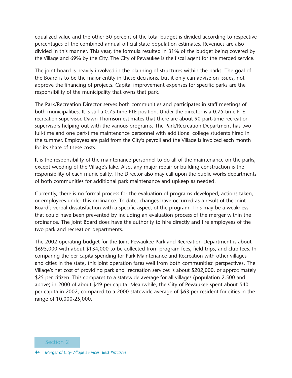equalized value and the other 50 percent of the total budget is divided according to respective percentages of the combined annual official state population estimates. Revenues are also divided in this manner. This year, the formula resulted in 31% of the budget being covered by the Village and 69% by the City. The City of Pewaukee is the fiscal agent for the merged service.

The joint board is heavily involved in the planning of structures within the parks. The goal of the Board is to be the major entity in these decisions, but it only can advise on issues, not approve the financing of projects. Capital improvement expenses for specific parks are the responsibility of the municipality that owns that park.

The Park/Recreation Director serves both communities and participates in staff meetings of both municipalities. It is still a 0.75-time FTE position. Under the director is a 0.75-time FTE recreation supervisor. Dawn Thomson estimates that there are about 90 part-time recreation supervisors helping out with the various programs. The Park/Recreation Department has two full-time and one part-time maintenance personnel with additional college students hired in the summer. Employees are paid from the City's payroll and the Village is invoiced each month for its share of these costs.

It is the responsibility of the maintenance personnel to do all of the maintenance on the parks, except weeding of the Village's lake. Also, any major repair or building construction is the responsibility of each municipality. The Director also may call upon the public works departments of both communities for additional park maintenance and upkeep as needed.

Currently, there is no formal process for the evaluation of programs developed, actions taken, or employees under this ordinance. To date, changes have occurred as a result of the Joint Board's verbal dissatisfaction with a specific aspect of the program. This may be a weakness that could have been prevented by including an evaluation process of the merger within the ordinance. The Joint Board does have the authority to hire directly and fire employees of the two park and recreation departments.

The 2002 operating budget for the Joint Pewaukee Park and Recreation Department is about \$695,000 with about \$134,000 to be collected from program fees, field trips, and club fees. In comparing the per capita spending for Park Maintenance and Recreation with other villages and cities in the state, this joint operation fares well from both communities' perspectives. The Village's net cost of providing park and recreation services is about \$202,000, or approximately \$25 per citizen. This compares to a statewide average for all villages (population 2,500 and above) in 2000 of about \$49 per capita. Meanwhile, the City of Pewaukee spent about \$40 per capita in 2002, compared to a 2000 statewide average of \$63 per resident for cities in the range of 10,000-25,000.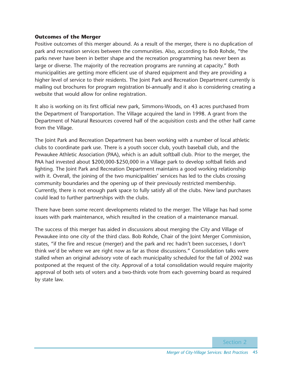#### **Outcomes of the Merger**

Positive outcomes of this merger abound. As a result of the merger, there is no duplication of park and recreation services between the communities. Also, according to Bob Rohde, "the parks never have been in better shape and the recreation programming has never been as large or diverse. The majority of the recreation programs are running at capacity." Both municipalities are getting more efficient use of shared equipment and they are providing a higher level of service to their residents. The Joint Park and Recreation Department currently is mailing out brochures for program registration bi-annually and it also is considering creating a website that would allow for online registration.

It also is working on its first official new park, Simmons-Woods, on 43 acres purchased from the Department of Transportation. The Village acquired the land in 1998. A grant from the Department of Natural Resources covered half of the acquisition costs and the other half came from the Village.

The Joint Park and Recreation Department has been working with a number of local athletic clubs to coordinate park use. There is a youth soccer club, youth baseball club, and the Pewaukee Athletic Association (PAA), which is an adult softball club. Prior to the merger, the PAA had invested about \$200,000-\$250,000 in a Village park to develop softball fields and lighting. The Joint Park and Recreation Department maintains a good working relationship with it. Overall, the joining of the two municipalities' services has led to the clubs crossing community boundaries and the opening up of their previously restricted membership. Currently, there is not enough park space to fully satisfy all of the clubs. New land purchases could lead to further partnerships with the clubs.

There have been some recent developments related to the merger. The Village has had some issues with park maintenance, which resulted in the creation of a maintenance manual.

The success of this merger has aided in discussions about merging the City and Village of Pewaukee into one city of the third class. Bob Rohde, Chair of the Joint Merger Commission, states, "if the fire and rescue (merger) and the park and rec hadn't been successes, I don't think we'd be where we are right now as far as those discussions." Consolidation talks were stalled when an original advisory vote of each municipality scheduled for the fall of 2002 was postponed at the request of the city. Approval of a total consolidation would require majority approval of both sets of voters and a two-thirds vote from each governing board as required by state law.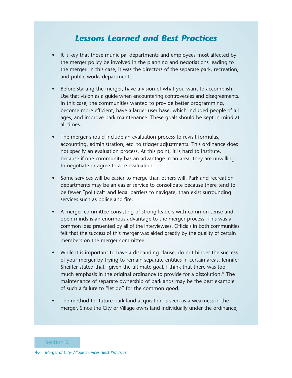### *Lessons Learned and Best Practices*

- It is key that those municipal departments and employees most affected by the merger policy be involved in the planning and negotiations leading to the merger. In this case, it was the directors of the separate park, recreation, and public works departments.
- Before starting the merger, have a vision of what you want to accomplish. Use that vision as a guide when encountering controversies and disagreements. In this case, the communities wanted to provide better programming, become more efficient, have a larger user base, which included people of all ages, and improve park maintenance. These goals should be kept in mind at all times.
- The merger should include an evaluation process to revisit formulas, accounting, administration, etc. to trigger adjustments. This ordinance does not specify an evaluation process. At this point, it is hard to institute, because if one community has an advantage in an area, they are unwilling to negotiate or agree to a re-evaluation.
- Some services will be easier to merge than others will. Park and recreation departments may be an easier service to consolidate because there tend to be fewer "political" and legal barriers to navigate, than exist surrounding services such as police and fire.
- A merger committee consisting of strong leaders with common sense and open minds is an enormous advantage to the merger process. This was a common idea presented by all of the interviewees. Officials in both communities felt that the success of this merger was aided greatly by the quality of certain members on the merger committee.
- While it is important to have a disbanding clause, do not hinder the success of your merger by trying to remain separate entities in certain areas. Jennifer Sheiffer stated that "given the ultimate goal, I think that there was too much emphasis in the original ordinance to provide for a dissolution." The maintenance of separate ownership of parklands may be the best example of such a failure to "let go" for the common good.
- The method for future park land acquisition is seen as a weakness in the merger. Since the City or Village owns land individually under the ordinance,
- Section 2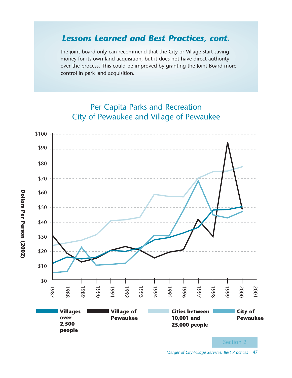### *Lessons Learned and Best Practices, cont.*

the joint board only can recommend that the City or Village start saving money for its own land acquisition, but it does not have direct authority over the process. This could be improved by granting the Joint Board more control in park land acquisition.



### Per Capita Parks and Recreation City of Pewaukee and Village of Pewaukee

*Merger of City-Village Services: Best Practices* 47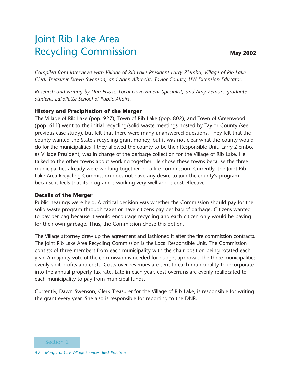## Joint Rib Lake Area Recycling Commission

*Compiled from interviews with Village of Rib Lake President Larry Ziembo, Village of Rib Lake Clerk-Treasurer Dawn Swenson, and Arlen Albrecht, Taylor County, UW-Extension Educator.* 

*Research and writing by Dan Elsass, Local Government Specialist, and Amy Zeman, graduate student, LaFollette School of Public Affairs.*

### **History and Precipitation of the Merger**

The Village of Rib Lake (pop. 927), Town of Rib Lake (pop. 802), and Town of Greenwood (pop. 611) went to the initial recycling/solid waste meetings hosted by Taylor County (see previous case study), but felt that there were many unanswered questions. They felt that the county wanted the State's recycling grant money, but it was not clear what the county would do for the municipalities if they allowed the county to be their Responsible Unit. Larry Ziembo, as Village President, was in charge of the garbage collection for the Village of Rib Lake. He talked to the other towns about working together. He chose these towns because the three municipalities already were working together on a fire commission. Currently, the Joint Rib Lake Area Recycling Commission does not have any desire to join the county's program because it feels that its program is working very well and is cost effective.

### **Details of the Merger**

Public hearings were held. A critical decision was whether the Commission should pay for the solid waste program through taxes or have citizens pay per bag of garbage. Citizens wanted to pay per bag because it would encourage recycling and each citizen only would be paying for their own garbage. Thus, the Commission chose this option.

The Village attorney drew up the agreement and fashioned it after the fire commission contracts. The Joint Rib Lake Area Recycling Commission is the Local Responsible Unit. The Commission consists of three members from each municipality with the chair position being rotated each year. A majority vote of the commission is needed for budget approval. The three municipalities evenly split profits and costs. Costs over revenues are sent to each municipality to incorporate into the annual property tax rate. Late in each year, cost overruns are evenly reallocated to each municipality to pay from municipal funds.

Currently, Dawn Swenson, Clerk-Treasurer for the Village of Rib Lake, is responsible for writing the grant every year. She also is responsible for reporting to the DNR.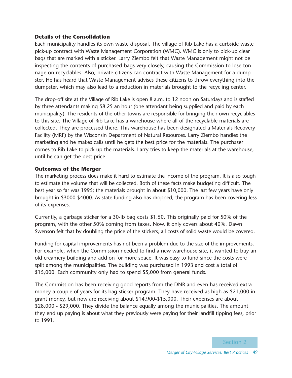### **Details of the Consolidation**

Each municipality handles its own waste disposal. The village of Rib Lake has a curbside waste pick-up contract with Waste Management Corporation (WMC). WMC is only to pick-up clear bags that are marked with a sticker. Larry Ziembo felt that Waste Management might not be inspecting the contents of purchased bags very closely, causing the Commission to lose tonnage on recyclables. Also, private citizens can contract with Waste Management for a dumpster. He has heard that Waste Management advises these citizens to throw everything into the dumpster, which may also lead to a reduction in materials brought to the recycling center.

The drop-off site at the Village of Rib Lake is open 8 a.m. to 12 noon on Saturdays and is staffed by three attendants making \$8.25 an hour (one attendant being supplied and paid by each municipality). The residents of the other towns are responsible for bringing their own recyclables to this site. The Village of Rib Lake has a warehouse where all of the recyclable materials are collected. They are processed there. This warehouse has been designated a Materials Recovery Facility (MRF) by the Wisconsin Department of Natural Resources. Larry Ziembo handles the marketing and he makes calls until he gets the best price for the materials. The purchaser comes to Rib Lake to pick up the materials. Larry tries to keep the materials at the warehouse, until he can get the best price.

### **Outcomes of the Merger**

The marketing process does make it hard to estimate the income of the program. It is also tough to estimate the volume that will be collected. Both of these facts make budgeting difficult. The best year so far was 1995; the materials brought in about \$10,000. The last few years have only brought in \$3000-\$4000. As state funding also has dropped, the program has been covering less of its expenses.

Currently, a garbage sticker for a 30-lb bag costs \$1.50. This originally paid for 50% of the program, with the other 50% coming from taxes. Now, it only covers about 40%. Dawn Swenson felt that by doubling the price of the stickers, all costs of solid waste would be covered.

Funding for capital improvements has not been a problem due to the size of the improvements. For example, when the Commission needed to find a new warehouse site, it wanted to buy an old creamery building and add on for more space. It was easy to fund since the costs were split among the municipalities. The building was purchased in 1993 and cost a total of \$15,000. Each community only had to spend \$5,000 from general funds.

The Commission has been receiving good reports from the DNR and even has received extra money a couple of years for its bag sticker program. They have received as high as \$21,000 in grant money, but now are receiving about \$14,900-\$15,000. Their expenses are about \$28,000 - \$29,000. They divide the balance equally among the municipalities. The amount they end up paying is about what they previously were paying for their landfill tipping fees, prior to 1991.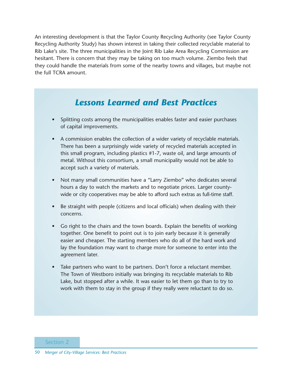An interesting development is that the Taylor County Recycling Authority (see Taylor County Recycling Authority Study) has shown interest in taking their collected recyclable material to Rib Lake's site. The three municipalities in the Joint Rib Lake Area Recycling Commission are hesitant. There is concern that they may be taking on too much volume. Ziembo feels that they could handle the materials from some of the nearby towns and villages, but maybe not the full TCRA amount.

### *Lessons Learned and Best Practices*

- Splitting costs among the municipalities enables faster and easier purchases of capital improvements.
- A commission enables the collection of a wider variety of recyclable materials. There has been a surprisingly wide variety of recycled materials accepted in this small program, including plastics #1-7, waste oil, and large amounts of metal. Without this consortium, a small municipality would not be able to accept such a variety of materials.
- Not many small communities have a "Larry Ziembo" who dedicates several hours a day to watch the markets and to negotiate prices. Larger countywide or city cooperatives may be able to afford such extras as full-time staff.
- Be straight with people (citizens and local officials) when dealing with their concerns.
- Go right to the chairs and the town boards. Explain the benefits of working together. One benefit to point out is to join early because it is generally easier and cheaper. The starting members who do all of the hard work and lay the foundation may want to charge more for someone to enter into the agreement later.
- Take partners who want to be partners. Don't force a reluctant member. The Town of Westboro initially was bringing its recyclable materials to Rib Lake, but stopped after a while. It was easier to let them go than to try to work with them to stay in the group if they really were reluctant to do so.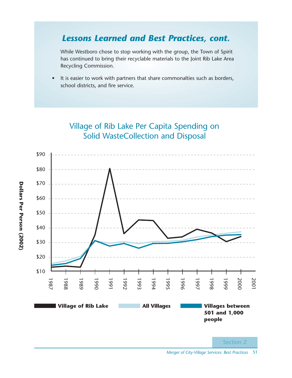### *Lessons Learned and Best Practices, cont.*

While Westboro chose to stop working with the group, the Town of Spirit has continued to bring their recyclable materials to the Joint Rib Lake Area Recycling Commission.

• It is easier to work with partners that share commonalties such as borders, school districts, and fire service.



**Dollars Per Person (2002)**

Dollars Per Person (2002)

### Village of Rib Lake Per Capita Spending on Solid WasteCollection and Disposal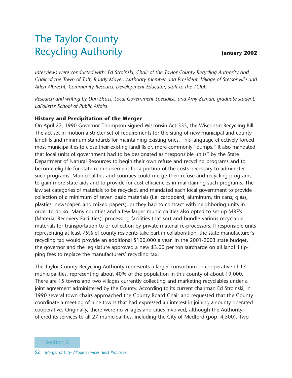## The Taylor County Recycling Authority

*Interviews were conducted with: Ed Stroinski, Chair of the Taylor County Recycling Authority and Chair of the Town of Taft, Randy Mayer, Authority member and President, Village of Stetsonville and Arlen Albrecht, Community Resource Development Educator, staff to the TCRA.*

*Research and writing by Dan Elsass, Local Government Specialist, and Amy Zeman, graduate student, LaFollette School of Public Affairs.*

### **History and Precipitation of the Merger**

On April 27, 1990 Governor Thompson signed Wisconsin Act 335, the Wisconsin Recycling Bill. The act set in motion a stricter set of requirements for the siting of new municipal and county landfills and minimum standards for maintaining existing ones. This language effectively forced most municipalities to close their existing landfills or, more commonly "dumps." It also mandated that local units of government had to be designated as "responsible units" by the State Department of Natural Resources to begin their own refuse and recycling programs and to become eligible for state reimbursement for a portion of the costs necessary to administer such programs. Municipalities and counties could merge their refuse and recycling programs to gain more state aids and to provide for cost efficiencies in maintaining such programs. The law set categories of materials to be recycled, and mandated each local government to provide collection of a minimum of seven basic materials (i.e. cardboard, aluminum, tin cans, glass, plastics, newspaper, and mixed papers), or they had to contract with neighboring units in order to do so. Many counties and a few larger municipalities also opted to set up MRF's (Material Recovery Facilities), processing facilities that sort and bundle various recyclable materials for transportation to or collection by private material re-processors. If responsible units representing at least 75% of county residents take part in collaboration, the state manufacturer's recycling tax would provide an additional \$100,000 a year. In the 2001-2003 state budget, the governor and the legislature approved a new \$3.00 per ton surcharge on all landfill tipping fees to replace the manufacturers' recycling tax.

The Taylor County Recycling Authority represents a larger consortium or cooperative of 17 municipalities, representing about 40% of the population in this county of about 19,000. There are 15 towns and two villages currently collecting and marketing recyclables under a joint agreement administered by the County. According to its current chairman Ed Stroinski, in 1990 several town chairs approached the County Board Chair and requested that the County coordinate a meeting of nine towns that had expressed an interest in joining a county operated cooperative. Originally, there were no villages and cities involved, although the Authority offered its services to all 27 municipalities, including the City of Medford (pop. 4,500). Two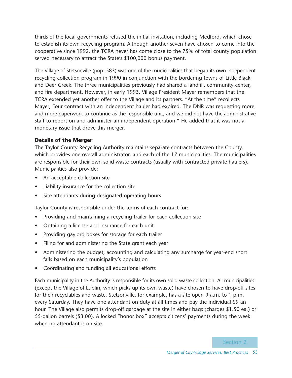thirds of the local governments refused the initial invitation, including Medford, which chose to establish its own recycling program. Although another seven have chosen to come into the cooperative since 1992, the TCRA never has come close to the 75% of total county population served necessary to attract the State's \$100,000 bonus payment.

The Village of Stetsonville (pop. 583) was one of the municipalities that began its own independent recycling collection program in 1990 in conjunction with the bordering towns of Little Black and Deer Creek. The three municipalities previously had shared a landfill, community center, and fire department. However, in early 1993, Village President Mayer remembers that the TCRA extended yet another offer to the Village and its partners. "At the time" recollects Mayer, "our contract with an independent hauler had expired. The DNR was requesting more and more paperwork to continue as the responsible unit, and we did not have the administrative staff to report on and administer an independent operation." He added that it was not a monetary issue that drove this merger.

### **Details of the Merger**

The Taylor County Recycling Authority maintains separate contracts between the County, which provides one overall administrator, and each of the 17 municipalities. The municipalities are responsible for their own solid waste contracts (usually with contracted private haulers). Municipalities also provide:

- An acceptable collection site
- Liability insurance for the collection site
- Site attendants during designated operating hours

Taylor County is responsible under the terms of each contract for:

- Providing and maintaining a recycling trailer for each collection site
- Obtaining a license and insurance for each unit
- Providing gaylord boxes for storage for each trailer
- Filing for and administering the State grant each year
- Administering the budget, accounting and calculating any surcharge for year-end short falls based on each municipality's population
- Coordinating and funding all educational efforts

Each municipality in the Authority is responsible for its own solid waste collection. All municipalities (except the Village of Lublin, which picks up its own waste) have chosen to have drop-off sites for their recyclables and waste. Stetsonville, for example, has a site open 9 a.m. to 1 p.m. every Saturday. They have one attendant on duty at all times and pay the individual \$9 an hour. The Village also permits drop-off garbage at the site in either bags (charges \$1.50 ea.) or 55-gallon barrels (\$3.00). A locked "honor box" accepts citizens' payments during the week when no attendant is on-site.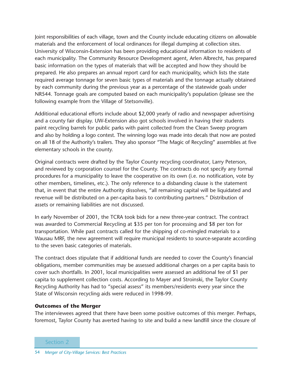Joint responsibilities of each village, town and the County include educating citizens on allowable materials and the enforcement of local ordinances for illegal dumping at collection sites. University of Wisconsin-Extension has been providing educational information to residents of each municipality. The Community Resource Development agent, Arlen Albrecht, has prepared basic information on the types of materials that will be accepted and how they should be prepared. He also prepares an annual report card for each municipality, which lists the state required average tonnage for seven basic types of materials and the tonnage actually obtained by each community during the previous year as a percentage of the statewide goals under NR544. Tonnage goals are computed based on each municipality's population (please see the following example from the Village of Stetsonville).

Additional educational efforts include about \$2,000 yearly of radio and newspaper advertising and a county fair display. UW-Extension also got schools involved in having their students paint recycling barrels for public parks with paint collected from the Clean Sweep program and also by holding a logo contest. The winning logo was made into decals that now are posted on all 18 of the Authority's trailers. They also sponsor "The Magic of Recycling" assemblies at five elementary schools in the county.

Original contracts were drafted by the Taylor County recycling coordinator, Larry Peterson, and reviewed by corporation counsel for the County. The contracts do not specify any formal procedures for a municipality to leave the cooperative on its own (i.e. no notification, vote by other members, timelines, etc.). The only reference to a disbanding clause is the statement that, in event that the entire Authority dissolves, "all remaining capital will be liquidated and revenue will be distributed on a per-capita basis to contributing partners." Distribution of assets or remaining liabilities are not discussed.

In early November of 2001, the TCRA took bids for a new three-year contract. The contract was awarded to Commercial Recycling at \$35 per ton for processing and \$8 per ton for transportation. While past contracts called for the shipping of co-mingled materials to a Wausau MRF, the new agreement will require municipal residents to source-separate according to the seven basic categories of materials.

The contract does stipulate that if additional funds are needed to cover the County's financial obligations, member communities may be assessed additional charges on a per capita basis to cover such shortfalls. In 2001, local municipalities were assessed an additional fee of \$1 per capita to supplement collection costs. According to Mayer and Stroinski, the Taylor County Recycling Authority has had to "special assess" its members/residents every year since the State of Wisconsin recycling aids were reduced in 1998-99.

#### **Outcomes of the Merger**

The interviewees agreed that there have been some positive outcomes of this merger. Perhaps, foremost, Taylor County has averted having to site and build a new landfill since the closure of

Section 2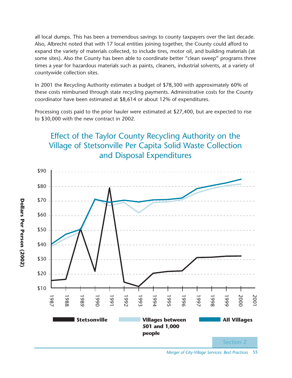all local dumps. This has been a tremendous savings to county taxpayers over the last decade. Also, Albrecht noted that with 17 local entities joining together, the County could afford to expand the variety of materials collected, to include tires, motor oil, and building materials (at some sites). Also the County has been able to coordinate better "clean sweep" programs three times a year for hazardous materials such as paints, cleaners, industrial solvents, at a variety of countywide collection sites.

In 2001 the Recycling Authority estimates a budget of \$78,300 with approximately 60% of these costs reimbursed through state recycling payments. Administrative costs for the County coordinator have been estimated at \$8,614 or about 12% of expenditures.

Processing costs paid to the prior hauler were estimated at \$27,400, but are expected to rise to \$30,000 with the new contract in 2002.

### Effect of the Taylor County Recycling Authority on the Village of Stetsonville Per Capita Solid Waste Collection and Disposal Expenditures



*Merger of City-Village Services: Best Practices* 55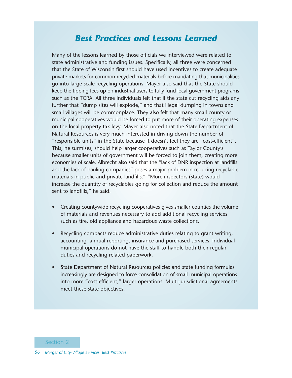### *Best Practices and Lessons Learned*

Many of the lessons learned by those officials we interviewed were related to state administrative and funding issues. Specifically, all three were concerned that the State of Wisconsin first should have used incentives to create adequate private markets for common recycled materials before mandating that municipalities go into large scale recycling operations. Mayer also said that the State should keep the tipping fees up on industrial users to fully fund local government programs such as the TCRA. All three individuals felt that if the state cut recycling aids any further that "dump sites will explode," and that illegal dumping in towns and small villages will be commonplace. They also felt that many small county or municipal cooperatives would be forced to put more of their operating expenses on the local property tax levy. Mayer also noted that the State Department of Natural Resources is very much interested in driving down the number of "responsible units" in the State because it doesn't feel they are "cost-efficient". This, he surmises, should help larger cooperatives such as Taylor County's because smaller units of government will be forced to join them, creating more economies of scale. Albrecht also said that the "lack of DNR inspection at landfills and the lack of hauling companies" poses a major problem in reducing recyclable materials in public and private landfills." "More inspectors (state) would increase the quantity of recyclables going for collection and reduce the amount sent to landfills," he said.

- Creating countywide recycling cooperatives gives smaller counties the volume of materials and revenues necessary to add additional recycling services such as tire, old appliance and hazardous waste collections.
- Recycling compacts reduce administrative duties relating to grant writing, accounting, annual reporting, insurance and purchased services. Individual municipal operations do not have the staff to handle both their regular duties and recycling related paperwork.
- State Department of Natural Resources policies and state funding formulas increasingly are designed to force consolidation of small municipal operations into more "cost-efficient," larger operations. Multi-jurisdictional agreements meet these state objectives.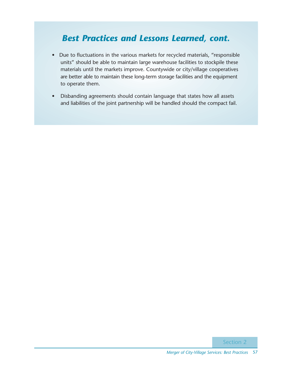### *Best Practices and Lessons Learned, cont.*

- Due to fluctuations in the various markets for recycled materials, "responsible units" should be able to maintain large warehouse facilities to stockpile these materials until the markets improve. Countywide or city/village cooperatives are better able to maintain these long-term storage facilities and the equipment to operate them.
- Disbanding agreements should contain language that states how all assets and liabilities of the joint partnership will be handled should the compact fail.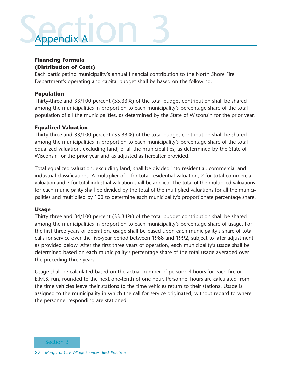# Seperation 3 Appendix A

### **Financing Formula (Distribution of Costs)**

Each participating municipality's annual financial contribution to the North Shore Fire Department's operating and capital budget shall be based on the following:

### **Population**

Thirty-three and 33/100 percent (33.33%) of the total budget contribution shall be shared among the municipalities in proportion to each municipality's percentage share of the total population of all the municipalities, as determined by the State of Wisconsin for the prior year.

### **Equalized Valuation**

Thirty-three and 33/100 percent (33.33%) of the total budget contribution shall be shared among the municipalities in proportion to each municipality's percentage share of the total equalized valuation, excluding land, of all the municipalities, as determined by the State of Wisconsin for the prior year and as adjusted as hereafter provided.

Total equalized valuation, excluding land, shall be divided into residential, commercial and industrial classifications. A multiplier of 1 for total residential valuation, 2 for total commercial valuation and 3 for total industrial valuation shall be applied. The total of the multiplied valuations for each municipality shall be divided by the total of the multiplied valuations for all the municipalities and multiplied by 100 to determine each municipality's proportionate percentage share.

### **Usage**

Thirty-three and 34/100 percent (33.34%) of the total budget contribution shall be shared among the municipalities in proportion to each municipality's percentage share of usage. For the first three years of operation, usage shall be based upon each municipality's share of total calls for service over the five-year period between 1988 and 1992, subject to later adjustment as provided below. After the first three years of operation, each municipality's usage shall be determined based on each municipality's percentage share of the total usage averaged over the preceding three years.

Usage shall be calculated based on the actual number of personnel hours for each fire or E.M.S. run, rounded to the next one-tenth of one hour. Personnel hours are calculated from the time vehicles leave their stations to the time vehicles return to their stations. Usage is assigned to the municipality in which the call for service originated, without regard to where the personnel responding are stationed.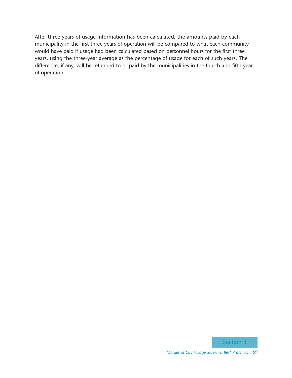After three years of usage information has been calculated, the amounts paid by each municipality in the first three years of operation will be compared to what each community would have paid if usage had been calculated based on personnel hours for the first three years, using the three-year average as the percentage of usage for each of such years. The difference, if any, will be refunded to or paid by the municipalities in the fourth and fifth year of operation.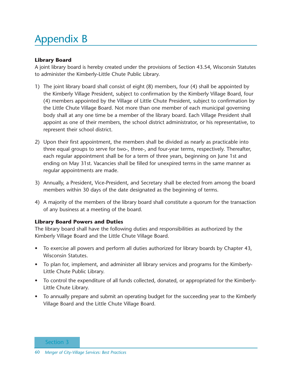## Appendix B

### **Library Board**

A joint library board is hereby created under the provisions of Section 43.54, Wisconsin Statutes to administer the Kimberly-Little Chute Public Library.

- 1) The joint library board shall consist of eight (8) members, four (4) shall be appointed by the Kimberly Village President, subject to confirmation by the Kimberly Village Board, four (4) members appointed by the Village of Little Chute President, subject to confirmation by the Little Chute Village Board. Not more than one member of each municipal governing body shall at any one time be a member of the library board. Each Village President shall appoint as one of their members, the school district administrator, or his representative, to represent their school district.
- 2) Upon their first appointment, the members shall be divided as nearly as practicable into three equal groups to serve for two-, three-, and four-year terms, respectively. Thereafter, each regular appointment shall be for a term of three years, beginning on June 1st and ending on May 31st. Vacancies shall be filled for unexpired terms in the same manner as regular appointments are made.
- 3) Annually, a President, Vice-President, and Secretary shall be elected from among the board members within 30 days of the date designated as the beginning of terms.
- 4) A majority of the members of the library board shall constitute a quorum for the transaction of any business at a meeting of the board.

### **Library Board Powers and Duties**

The library board shall have the following duties and responsibilities as authorized by the Kimberly Village Board and the Little Chute Village Board.

- To exercise all powers and perform all duties authorized for library boards by Chapter 43, Wisconsin Statutes.
- To plan for, implement, and administer all library services and programs for the Kimberly-Little Chute Public Library.
- To control the expenditure of all funds collected, donated, or appropriated for the Kimberly-Little Chute Library.
- To annually prepare and submit an operating budget for the succeeding year to the Kimberly Village Board and the Little Chute Village Board.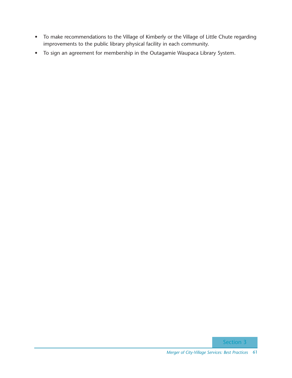- To make recommendations to the Village of Kimberly or the Village of Little Chute regarding improvements to the public library physical facility in each community.
- To sign an agreement for membership in the Outagamie Waupaca Library System.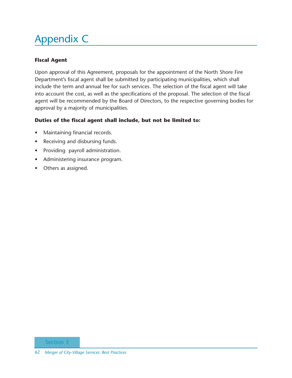## Appendix C

### **Fiscal Agent**

Upon approval of this Agreement, proposals for the appointment of the North Shore Fire Department's fiscal agent shall be submitted by participating municipalities, which shall include the term and annual fee for such services. The selection of the fiscal agent will take into account the cost, as well as the specifications of the proposal. The selection of the fiscal agent will be recommended by the Board of Directors, to the respective governing bodies for approval by a majority of municipalities.

### **Duties of the fiscal agent shall include, but not be limited to:**

- Maintaining financial records.
- Receiving and disbursing funds.
- Providing payroll administration.
- Administering insurance program.
- Others as assigned.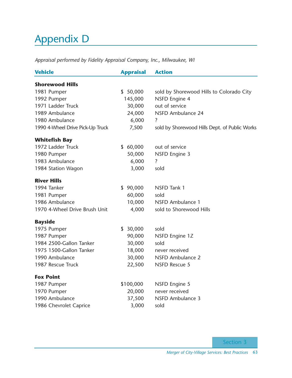## Appendix D

*Appraisal performed by Fidelity Appraisal Company, Inc., Milwaukee, WI*

| <b>Vehicle</b>                   | <b>Appraisal</b> | <b>Action</b>                                 |
|----------------------------------|------------------|-----------------------------------------------|
| <b>Shorewood Hills</b>           |                  |                                               |
| 1981 Pumper                      | \$50,000         | sold by Shorewood Hills to Colorado City      |
| 1992 Pumper                      | 145,000          | NSFD Engine 4                                 |
| 1971 Ladder Truck                | 30,000           | out of service                                |
| 1989 Ambulance                   | 24,000           | <b>NSFD Ambulance 24</b>                      |
| 1980 Ambulance                   | 6,000            | $\ddot{?}$                                    |
| 1990 4-Wheel Drive Pick-Up Truck | 7,500            | sold by Shorewood Hills Dept. of Public Works |
| <b>Whitefish Bay</b>             |                  |                                               |
| 1972 Ladder Truck                | \$60,000         | out of service                                |
| 1980 Pumper                      | 50,000           | <b>NSFD Engine 3</b>                          |
| 1983 Ambulance                   | 6,000            | $\overline{\mathcal{L}}$                      |
| 1984 Station Wagon               | 3,000            | sold                                          |
| <b>River Hills</b>               |                  |                                               |
| 1994 Tanker                      | \$90,000         | NSFD Tank 1                                   |
| 1981 Pumper                      | 60,000           | sold                                          |
| 1986 Ambulance                   | 10,000           | NSFD Ambulance 1                              |
| 1970 4-Wheel Drive Brush Unit    | 4,000            | sold to Shorewood Hills                       |
| <b>Bayside</b>                   |                  |                                               |
| 1975 Pumper                      | \$30,000         | sold                                          |
| 1987 Pumper                      | 90,000           | NSFD Engine 1Z                                |
| 1984 2500-Gallon Tanker          | 30,000           | sold                                          |
| 1975 1500-Gallon Tanker          | 18,000           | never received                                |
| 1990 Ambulance                   | 30,000           | <b>NSFD Ambulance 2</b>                       |
| 1987 Rescue Truck                | 22,500           | <b>NSFD Rescue 5</b>                          |
| <b>Fox Point</b>                 |                  |                                               |
| 1987 Pumper                      | \$100,000        | <b>NSFD Engine 5</b>                          |
| 1970 Pumper                      | 20,000           | never received                                |
| 1990 Ambulance                   | 37,500           | NSFD Ambulance 3                              |
| 1986 Chevrolet Caprice           | 3,000            | sold                                          |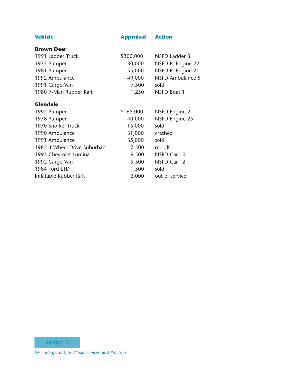| <b>Vehicle</b>              | <b>Appraisal</b> | <b>Action</b>         |
|-----------------------------|------------------|-----------------------|
| <b>Brown Deer</b>           |                  |                       |
| 1991 Ladder Truck           | \$300,000        | NSFD Ladder 3         |
| 1975 Pumper                 | 30,000           | NSFD R. Engine 22     |
| 1981 Pumper                 | 55,000           | NSFD R. Engine 21     |
| 1992 Ambulance              | 49,000           | NSFD Ambulance 5      |
| 1991 Cargo Van              | 7,500            | sold                  |
| 1980 7-Man Rubber Raft      | 1,250            | NSFD Boat 1           |
| <b>Glendale</b>             |                  |                       |
| 1992 Pumper                 | \$165,000        | NSFD Engine 2         |
| 1978 Pumper                 | 40,000           | <b>NSFD Engine 25</b> |
| 1970 Snorkel Truck          | 15,000           | sold                  |
| 1990 Ambulance              | 31,000           | crashed               |
| 1991 Ambulance              | 35,000           | sold                  |
| 1985 4-Wheel Drive Suburban | 7,500            | rebuilt               |
| 1993 Chevrolet Lumina       | 9,500            | NSFD Car 10           |
| 1992 Cargo Van              | 9,500            | NSFD Car 12           |
| 1984 Ford LTD               | 1,500            | sold                  |
| Inflatable Rubber Raft      | 2,000            | out of service        |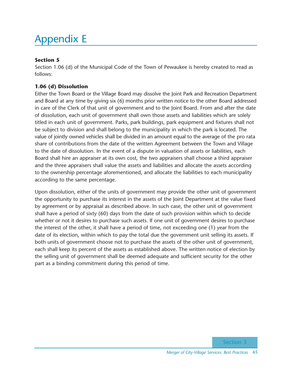## Appendix E

### **Section 5**

Section 1.06 (d) of the Municipal Code of the Town of Pewaukee is hereby created to read as follows:

### **1.06 (d) Dissolution**

Either the Town Board or the Village Board may dissolve the Joint Park and Recreation Department and Board at any time by giving six (6) months prior written notice to the other Board addressed in care of the Clerk of that unit of government and to the Joint Board. From and after the date of dissolution, each unit of government shall own those assets and liabilities which are solely titled in each unit of government. Parks, park buildings, park equipment and fixtures shall not be subject to division and shall belong to the municipality in which the park is located. The value of jointly owned vehicles shall be divided in an amount equal to the average of the pro rata share of contributions from the date of the written Agreement between the Town and Village to the date of dissolution. In the event of a dispute in valuation of assets or liabilities, each Board shall hire an appraiser at its own cost, the two appraisers shall choose a third appraiser and the three appraisers shall value the assets and liabilities and allocate the assets according to the ownership percentage aforementioned, and allocate the liabilities to each municipality according to the same percentage.

Upon dissolution, either of the units of government may provide the other unit of government the opportunity to purchase its interest in the assets of the Joint Department at the value fixed by agreement or by appraisal as described above. In such case, the other unit of government shall have a period of sixty (60) days from the date of such provision within which to decide whether or not it desires to purchase such assets. If one unit of government desires to purchase the interest of the other, it shall have a period of time, not exceeding one (1) year from the date of its election, within which to pay the total due the government unit selling its assets. If both units of government choose not to purchase the assets of the other unit of government, each shall keep its percent of the assets as established above. The written notice of election by the selling unit of government shall be deemed adequate and sufficient security for the other part as a binding commitment during this period of time.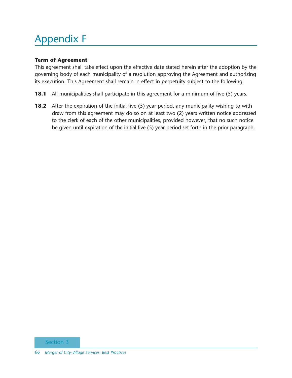## Appendix F

### **Term of Agreement**

This agreement shall take effect upon the effective date stated herein after the adoption by the governing body of each municipality of a resolution approving the Agreement and authorizing its execution. This Agreement shall remain in effect in perpetuity subject to the following:

- **18.1** All municipalities shall participate in this agreement for a minimum of five (5) years.
- **18.2** After the expiration of the initial five (5) year period, any municipality wishing to with draw from this agreement may do so on at least two (2) years written notice addressed to the clerk of each of the other municipalities, provided however, that no such notice be given until expiration of the initial five (5) year period set forth in the prior paragraph.